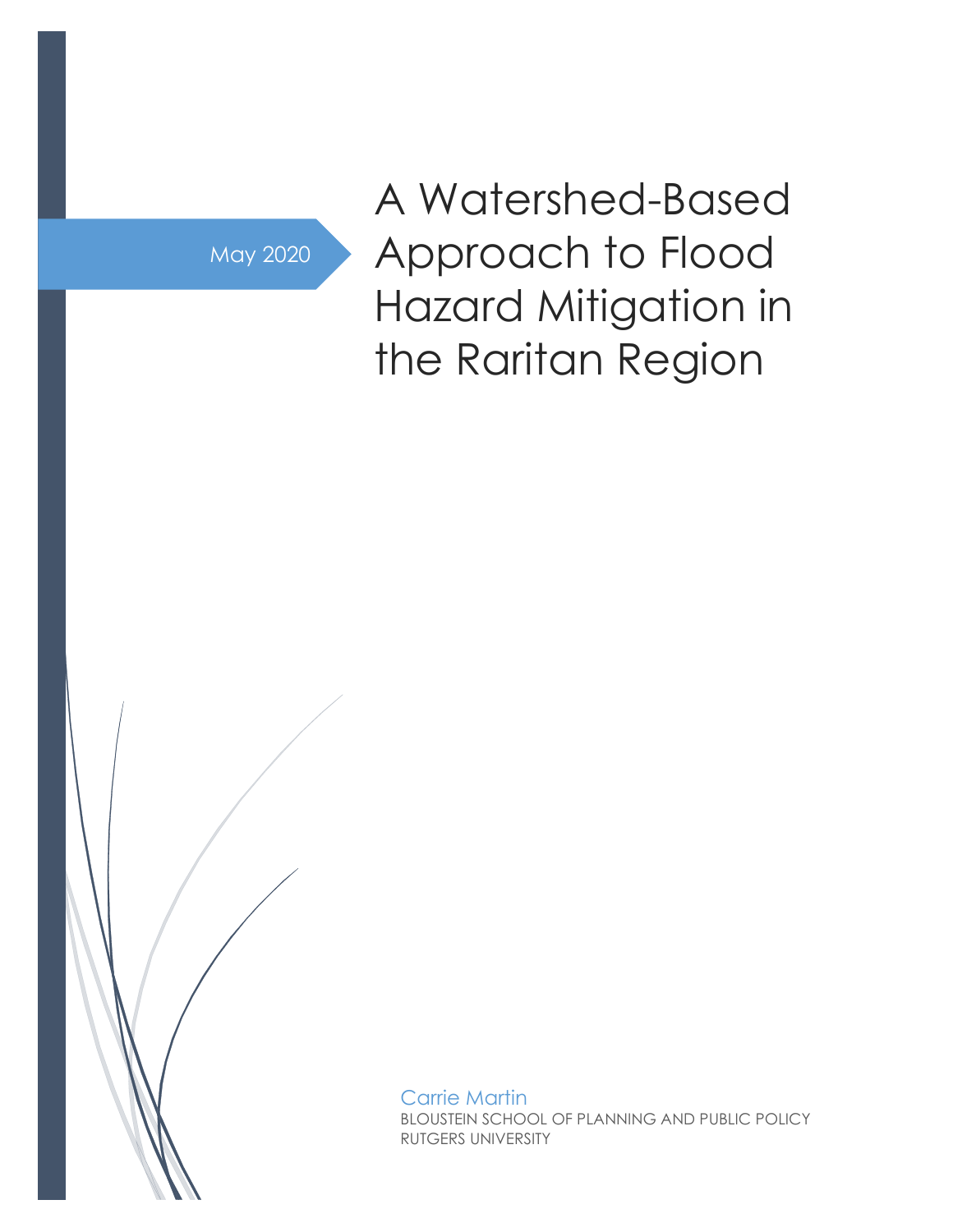May 2020

A Watershed-Based Approach to Flood Hazard Mitigation in the Raritan Region

Carrie Martin BLOUSTEIN SCHOOL OF PLANNING AND PUBLIC POLICY RUTGERS UNIVERSITY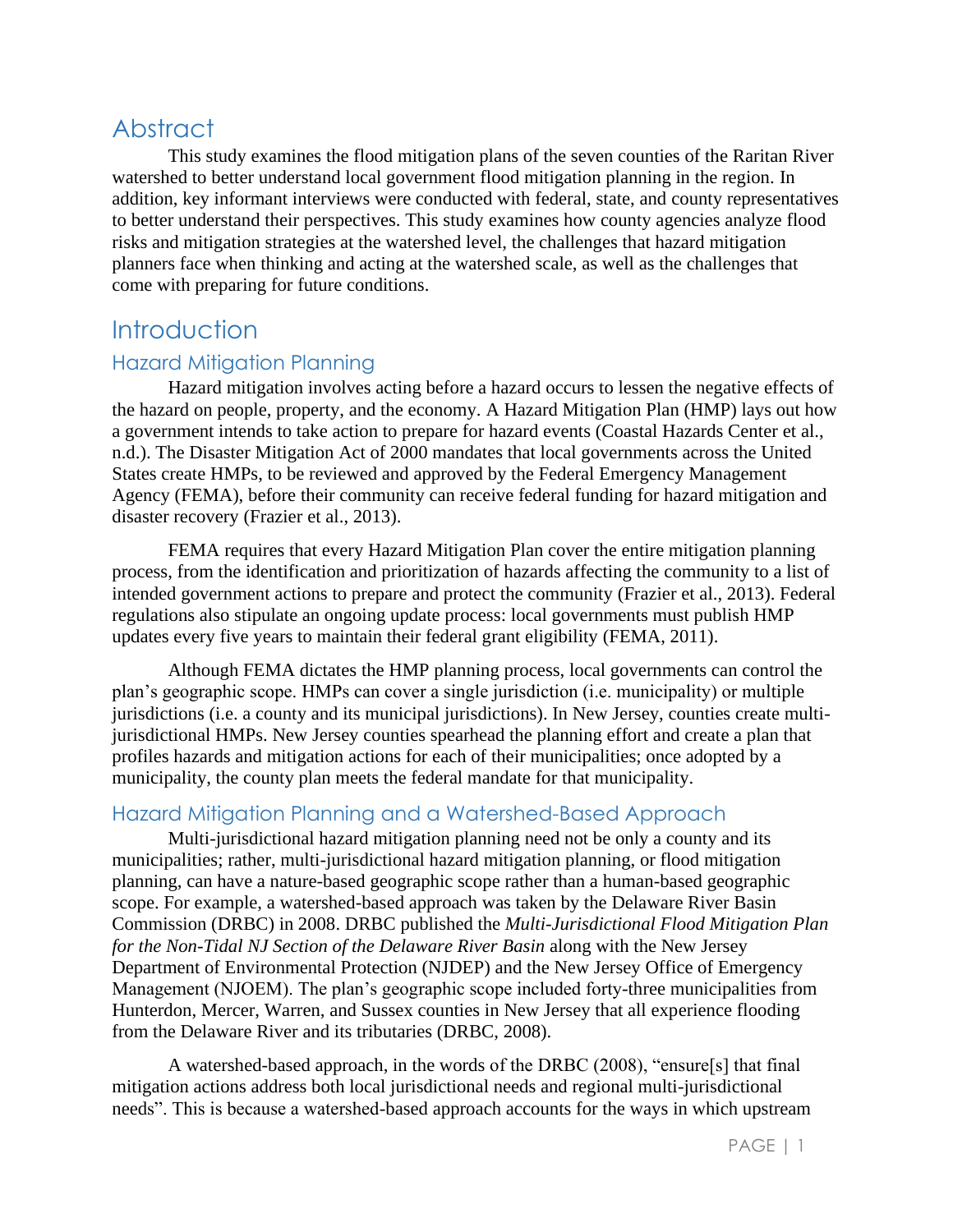# **Abstract**

This study examines the flood mitigation plans of the seven counties of the Raritan River watershed to better understand local government flood mitigation planning in the region. In addition, key informant interviews were conducted with federal, state, and county representatives to better understand their perspectives. This study examines how county agencies analyze flood risks and mitigation strategies at the watershed level, the challenges that hazard mitigation planners face when thinking and acting at the watershed scale, as well as the challenges that come with preparing for future conditions.

# **Introduction**

## Hazard Mitigation Planning

Hazard mitigation involves acting before a hazard occurs to lessen the negative effects of the hazard on people, property, and the economy. A Hazard Mitigation Plan (HMP) lays out how a government intends to take action to prepare for hazard events (Coastal Hazards Center et al., n.d.). The Disaster Mitigation Act of 2000 mandates that local governments across the United States create HMPs, to be reviewed and approved by the Federal Emergency Management Agency (FEMA), before their community can receive federal funding for hazard mitigation and disaster recovery (Frazier et al., 2013).

FEMA requires that every Hazard Mitigation Plan cover the entire mitigation planning process, from the identification and prioritization of hazards affecting the community to a list of intended government actions to prepare and protect the community (Frazier et al., 2013). Federal regulations also stipulate an ongoing update process: local governments must publish HMP updates every five years to maintain their federal grant eligibility (FEMA, 2011).

Although FEMA dictates the HMP planning process, local governments can control the plan's geographic scope. HMPs can cover a single jurisdiction (i.e. municipality) or multiple jurisdictions (i.e. a county and its municipal jurisdictions). In New Jersey, counties create multijurisdictional HMPs. New Jersey counties spearhead the planning effort and create a plan that profiles hazards and mitigation actions for each of their municipalities; once adopted by a municipality, the county plan meets the federal mandate for that municipality.

## Hazard Mitigation Planning and a Watershed-Based Approach

Multi-jurisdictional hazard mitigation planning need not be only a county and its municipalities; rather, multi-jurisdictional hazard mitigation planning, or flood mitigation planning, can have a nature-based geographic scope rather than a human-based geographic scope. For example, a watershed-based approach was taken by the Delaware River Basin Commission (DRBC) in 2008. DRBC published the *Multi-Jurisdictional Flood Mitigation Plan for the Non-Tidal NJ Section of the Delaware River Basin* along with the New Jersey Department of Environmental Protection (NJDEP) and the New Jersey Office of Emergency Management (NJOEM). The plan's geographic scope included forty-three municipalities from Hunterdon, Mercer, Warren, and Sussex counties in New Jersey that all experience flooding from the Delaware River and its tributaries (DRBC, 2008).

A watershed-based approach, in the words of the DRBC (2008), "ensure[s] that final mitigation actions address both local jurisdictional needs and regional multi-jurisdictional needs". This is because a watershed-based approach accounts for the ways in which upstream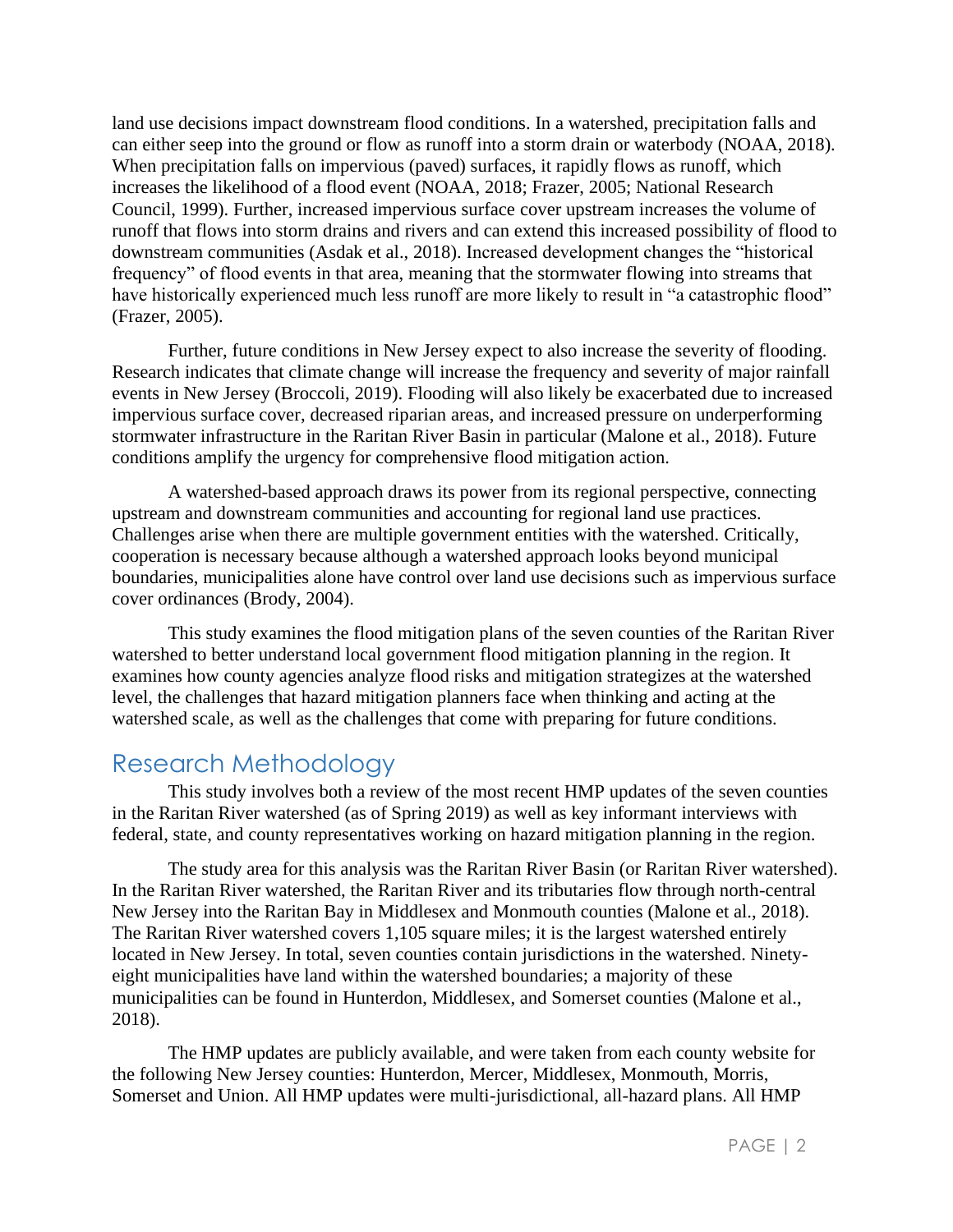land use decisions impact downstream flood conditions. In a watershed, precipitation falls and can either seep into the ground or flow as runoff into a storm drain or waterbody (NOAA, 2018). When precipitation falls on impervious (paved) surfaces, it rapidly flows as runoff, which increases the likelihood of a flood event (NOAA, 2018; Frazer, 2005; National Research Council, 1999). Further, increased impervious surface cover upstream increases the volume of runoff that flows into storm drains and rivers and can extend this increased possibility of flood to downstream communities (Asdak et al., 2018). Increased development changes the "historical frequency" of flood events in that area, meaning that the stormwater flowing into streams that have historically experienced much less runoff are more likely to result in "a catastrophic flood" (Frazer, 2005).

Further, future conditions in New Jersey expect to also increase the severity of flooding. Research indicates that climate change will increase the frequency and severity of major rainfall events in New Jersey (Broccoli, 2019). Flooding will also likely be exacerbated due to increased impervious surface cover, decreased riparian areas, and increased pressure on underperforming stormwater infrastructure in the Raritan River Basin in particular (Malone et al., 2018). Future conditions amplify the urgency for comprehensive flood mitigation action.

A watershed-based approach draws its power from its regional perspective, connecting upstream and downstream communities and accounting for regional land use practices. Challenges arise when there are multiple government entities with the watershed. Critically, cooperation is necessary because although a watershed approach looks beyond municipal boundaries, municipalities alone have control over land use decisions such as impervious surface cover ordinances (Brody, 2004).

This study examines the flood mitigation plans of the seven counties of the Raritan River watershed to better understand local government flood mitigation planning in the region. It examines how county agencies analyze flood risks and mitigation strategizes at the watershed level, the challenges that hazard mitigation planners face when thinking and acting at the watershed scale, as well as the challenges that come with preparing for future conditions.

# Research Methodology

This study involves both a review of the most recent HMP updates of the seven counties in the Raritan River watershed (as of Spring 2019) as well as key informant interviews with federal, state, and county representatives working on hazard mitigation planning in the region.

The study area for this analysis was the Raritan River Basin (or Raritan River watershed). In the Raritan River watershed, the Raritan River and its tributaries flow through north-central New Jersey into the Raritan Bay in Middlesex and Monmouth counties (Malone et al., 2018). The Raritan River watershed covers 1,105 square miles; it is the largest watershed entirely located in New Jersey. In total, seven counties contain jurisdictions in the watershed. Ninetyeight municipalities have land within the watershed boundaries; a majority of these municipalities can be found in Hunterdon, Middlesex, and Somerset counties (Malone et al., 2018).

The HMP updates are publicly available, and were taken from each county website for the following New Jersey counties: Hunterdon, Mercer, Middlesex, Monmouth, Morris, Somerset and Union. All HMP updates were multi-jurisdictional, all-hazard plans. All HMP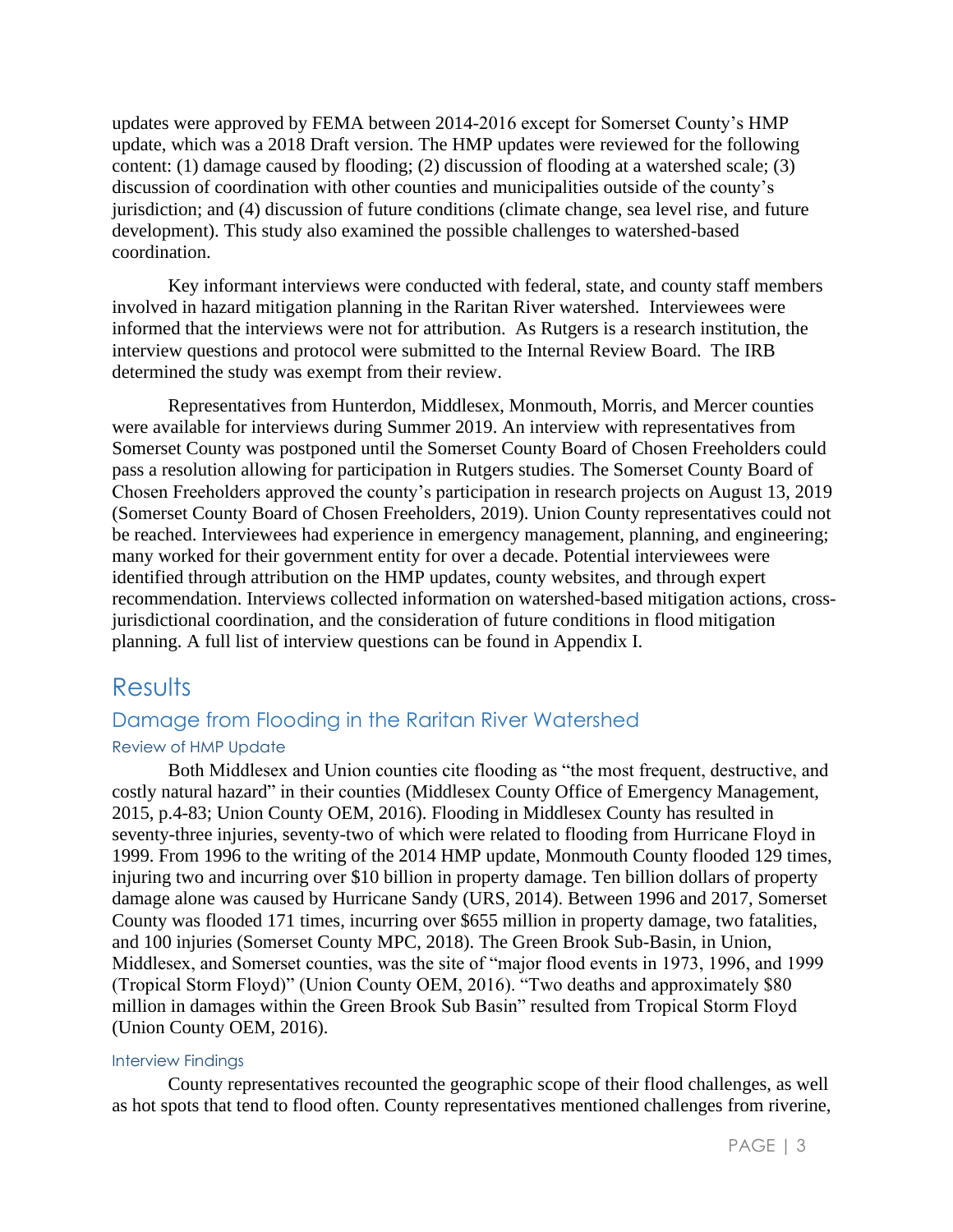updates were approved by FEMA between 2014-2016 except for Somerset County's HMP update, which was a 2018 Draft version. The HMP updates were reviewed for the following content: (1) damage caused by flooding; (2) discussion of flooding at a watershed scale; (3) discussion of coordination with other counties and municipalities outside of the county's jurisdiction; and (4) discussion of future conditions (climate change, sea level rise, and future development). This study also examined the possible challenges to watershed-based coordination.

Key informant interviews were conducted with federal, state, and county staff members involved in hazard mitigation planning in the Raritan River watershed. Interviewees were informed that the interviews were not for attribution. As Rutgers is a research institution, the interview questions and protocol were submitted to the Internal Review Board. The IRB determined the study was exempt from their review.

Representatives from Hunterdon, Middlesex, Monmouth, Morris, and Mercer counties were available for interviews during Summer 2019. An interview with representatives from Somerset County was postponed until the Somerset County Board of Chosen Freeholders could pass a resolution allowing for participation in Rutgers studies. The Somerset County Board of Chosen Freeholders approved the county's participation in research projects on August 13, 2019 (Somerset County Board of Chosen Freeholders, 2019). Union County representatives could not be reached. Interviewees had experience in emergency management, planning, and engineering; many worked for their government entity for over a decade. Potential interviewees were identified through attribution on the HMP updates, county websites, and through expert recommendation. Interviews collected information on watershed-based mitigation actions, crossjurisdictional coordination, and the consideration of future conditions in flood mitigation planning. A full list of interview questions can be found in Appendix I.

## **Results**

## Damage from Flooding in the Raritan River Watershed

### Review of HMP Update

Both Middlesex and Union counties cite flooding as "the most frequent, destructive, and costly natural hazard" in their counties (Middlesex County Office of Emergency Management, 2015, p.4-83; Union County OEM, 2016). Flooding in Middlesex County has resulted in seventy-three injuries, seventy-two of which were related to flooding from Hurricane Floyd in 1999. From 1996 to the writing of the 2014 HMP update, Monmouth County flooded 129 times, injuring two and incurring over \$10 billion in property damage. Ten billion dollars of property damage alone was caused by Hurricane Sandy (URS, 2014). Between 1996 and 2017, Somerset County was flooded 171 times, incurring over \$655 million in property damage, two fatalities, and 100 injuries (Somerset County MPC, 2018). The Green Brook Sub-Basin, in Union, Middlesex, and Somerset counties, was the site of "major flood events in 1973, 1996, and 1999 (Tropical Storm Floyd)" (Union County OEM, 2016). "Two deaths and approximately \$80 million in damages within the Green Brook Sub Basin" resulted from Tropical Storm Floyd (Union County OEM, 2016).

### Interview Findings

County representatives recounted the geographic scope of their flood challenges, as well as hot spots that tend to flood often. County representatives mentioned challenges from riverine,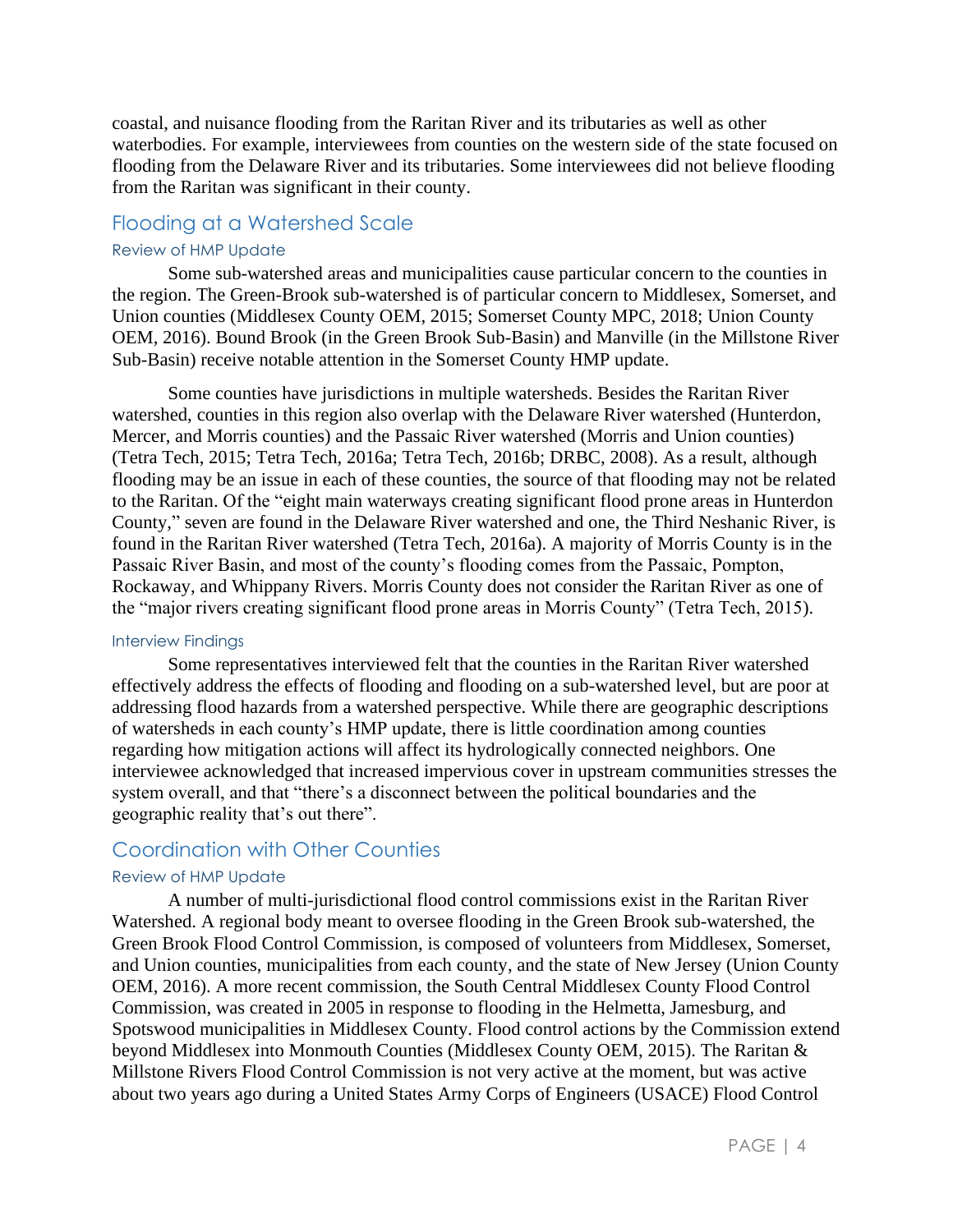coastal, and nuisance flooding from the Raritan River and its tributaries as well as other waterbodies. For example, interviewees from counties on the western side of the state focused on flooding from the Delaware River and its tributaries. Some interviewees did not believe flooding from the Raritan was significant in their county.

## Flooding at a Watershed Scale

#### Review of HMP Update

Some sub-watershed areas and municipalities cause particular concern to the counties in the region. The Green-Brook sub-watershed is of particular concern to Middlesex, Somerset, and Union counties (Middlesex County OEM, 2015; Somerset County MPC, 2018; Union County OEM, 2016). Bound Brook (in the Green Brook Sub-Basin) and Manville (in the Millstone River Sub-Basin) receive notable attention in the Somerset County HMP update.

Some counties have jurisdictions in multiple watersheds. Besides the Raritan River watershed, counties in this region also overlap with the Delaware River watershed (Hunterdon, Mercer, and Morris counties) and the Passaic River watershed (Morris and Union counties) (Tetra Tech, 2015; Tetra Tech, 2016a; Tetra Tech, 2016b; DRBC, 2008). As a result, although flooding may be an issue in each of these counties, the source of that flooding may not be related to the Raritan. Of the "eight main waterways creating significant flood prone areas in Hunterdon County," seven are found in the Delaware River watershed and one, the Third Neshanic River, is found in the Raritan River watershed (Tetra Tech, 2016a). A majority of Morris County is in the Passaic River Basin, and most of the county's flooding comes from the Passaic, Pompton, Rockaway, and Whippany Rivers. Morris County does not consider the Raritan River as one of the "major rivers creating significant flood prone areas in Morris County" (Tetra Tech, 2015).

#### Interview Findings

Some representatives interviewed felt that the counties in the Raritan River watershed effectively address the effects of flooding and flooding on a sub-watershed level, but are poor at addressing flood hazards from a watershed perspective. While there are geographic descriptions of watersheds in each county's HMP update, there is little coordination among counties regarding how mitigation actions will affect its hydrologically connected neighbors. One interviewee acknowledged that increased impervious cover in upstream communities stresses the system overall, and that "there's a disconnect between the political boundaries and the geographic reality that's out there".

### Coordination with Other Counties

#### Review of HMP Update

A number of multi-jurisdictional flood control commissions exist in the Raritan River Watershed. A regional body meant to oversee flooding in the Green Brook sub-watershed, the Green Brook Flood Control Commission, is composed of volunteers from Middlesex, Somerset, and Union counties, municipalities from each county, and the state of New Jersey (Union County OEM, 2016). A more recent commission, the South Central Middlesex County Flood Control Commission, was created in 2005 in response to flooding in the Helmetta, Jamesburg, and Spotswood municipalities in Middlesex County. Flood control actions by the Commission extend beyond Middlesex into Monmouth Counties (Middlesex County OEM, 2015). The Raritan & Millstone Rivers Flood Control Commission is not very active at the moment, but was active about two years ago during a United States Army Corps of Engineers (USACE) Flood Control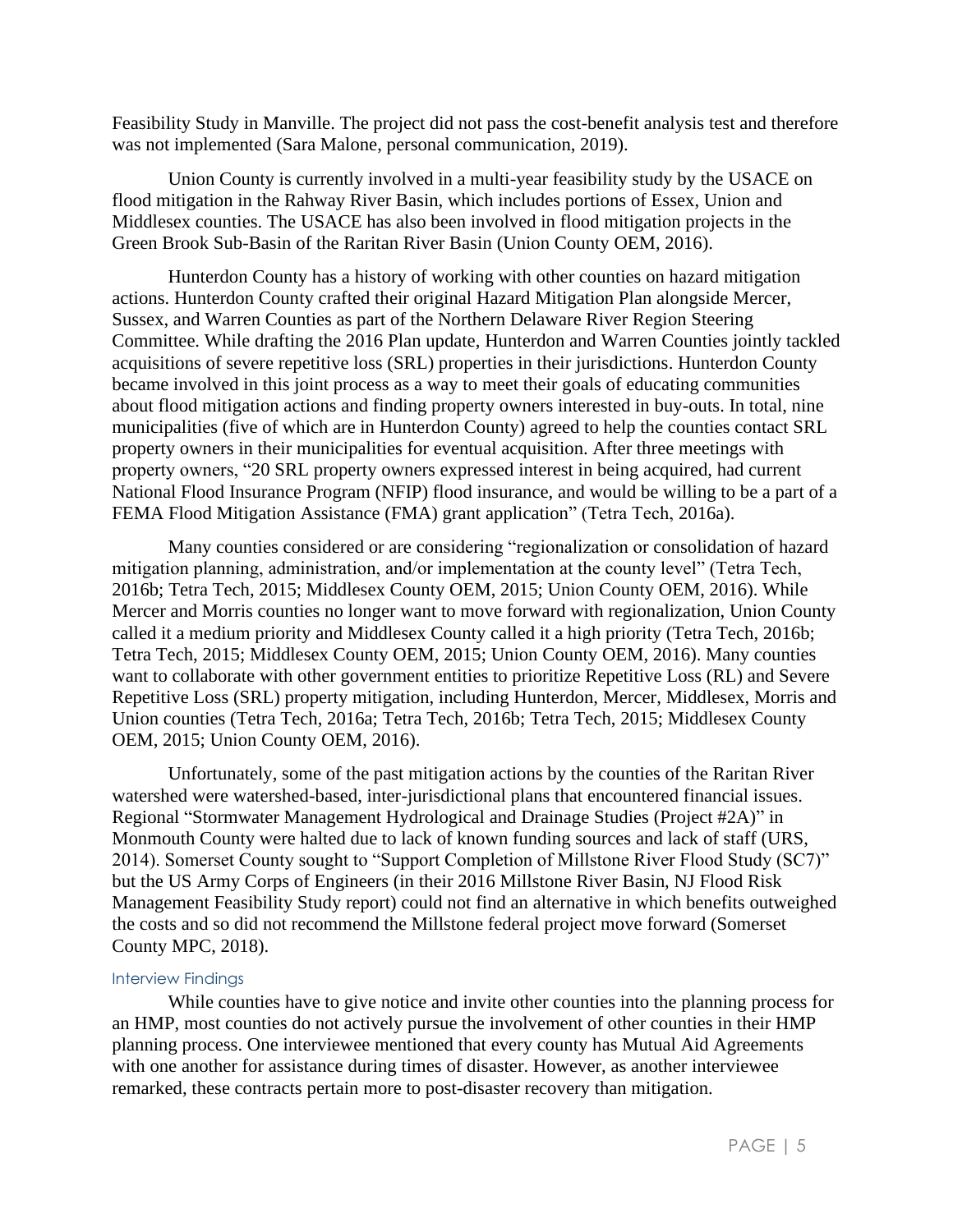Feasibility Study in Manville. The project did not pass the cost-benefit analysis test and therefore was not implemented (Sara Malone, personal communication, 2019).

Union County is currently involved in a multi-year feasibility study by the USACE on flood mitigation in the Rahway River Basin, which includes portions of Essex, Union and Middlesex counties. The USACE has also been involved in flood mitigation projects in the Green Brook Sub-Basin of the Raritan River Basin (Union County OEM, 2016).

Hunterdon County has a history of working with other counties on hazard mitigation actions. Hunterdon County crafted their original Hazard Mitigation Plan alongside Mercer, Sussex, and Warren Counties as part of the Northern Delaware River Region Steering Committee. While drafting the 2016 Plan update, Hunterdon and Warren Counties jointly tackled acquisitions of severe repetitive loss (SRL) properties in their jurisdictions. Hunterdon County became involved in this joint process as a way to meet their goals of educating communities about flood mitigation actions and finding property owners interested in buy-outs. In total, nine municipalities (five of which are in Hunterdon County) agreed to help the counties contact SRL property owners in their municipalities for eventual acquisition. After three meetings with property owners, "20 SRL property owners expressed interest in being acquired, had current National Flood Insurance Program (NFIP) flood insurance, and would be willing to be a part of a FEMA Flood Mitigation Assistance (FMA) grant application" (Tetra Tech, 2016a).

Many counties considered or are considering "regionalization or consolidation of hazard mitigation planning, administration, and/or implementation at the county level" (Tetra Tech, 2016b; Tetra Tech, 2015; Middlesex County OEM, 2015; Union County OEM, 2016). While Mercer and Morris counties no longer want to move forward with regionalization, Union County called it a medium priority and Middlesex County called it a high priority (Tetra Tech, 2016b; Tetra Tech, 2015; Middlesex County OEM, 2015; Union County OEM, 2016). Many counties want to collaborate with other government entities to prioritize Repetitive Loss (RL) and Severe Repetitive Loss (SRL) property mitigation, including Hunterdon, Mercer, Middlesex, Morris and Union counties (Tetra Tech, 2016a; Tetra Tech, 2016b; Tetra Tech, 2015; Middlesex County OEM, 2015; Union County OEM, 2016).

Unfortunately, some of the past mitigation actions by the counties of the Raritan River watershed were watershed-based, inter-jurisdictional plans that encountered financial issues. Regional "Stormwater Management Hydrological and Drainage Studies (Project #2A)" in Monmouth County were halted due to lack of known funding sources and lack of staff (URS, 2014). Somerset County sought to "Support Completion of Millstone River Flood Study (SC7)" but the US Army Corps of Engineers (in their 2016 Millstone River Basin, NJ Flood Risk Management Feasibility Study report) could not find an alternative in which benefits outweighed the costs and so did not recommend the Millstone federal project move forward (Somerset County MPC, 2018).

#### Interview Findings

While counties have to give notice and invite other counties into the planning process for an HMP, most counties do not actively pursue the involvement of other counties in their HMP planning process. One interviewee mentioned that every county has Mutual Aid Agreements with one another for assistance during times of disaster. However, as another interviewee remarked, these contracts pertain more to post-disaster recovery than mitigation.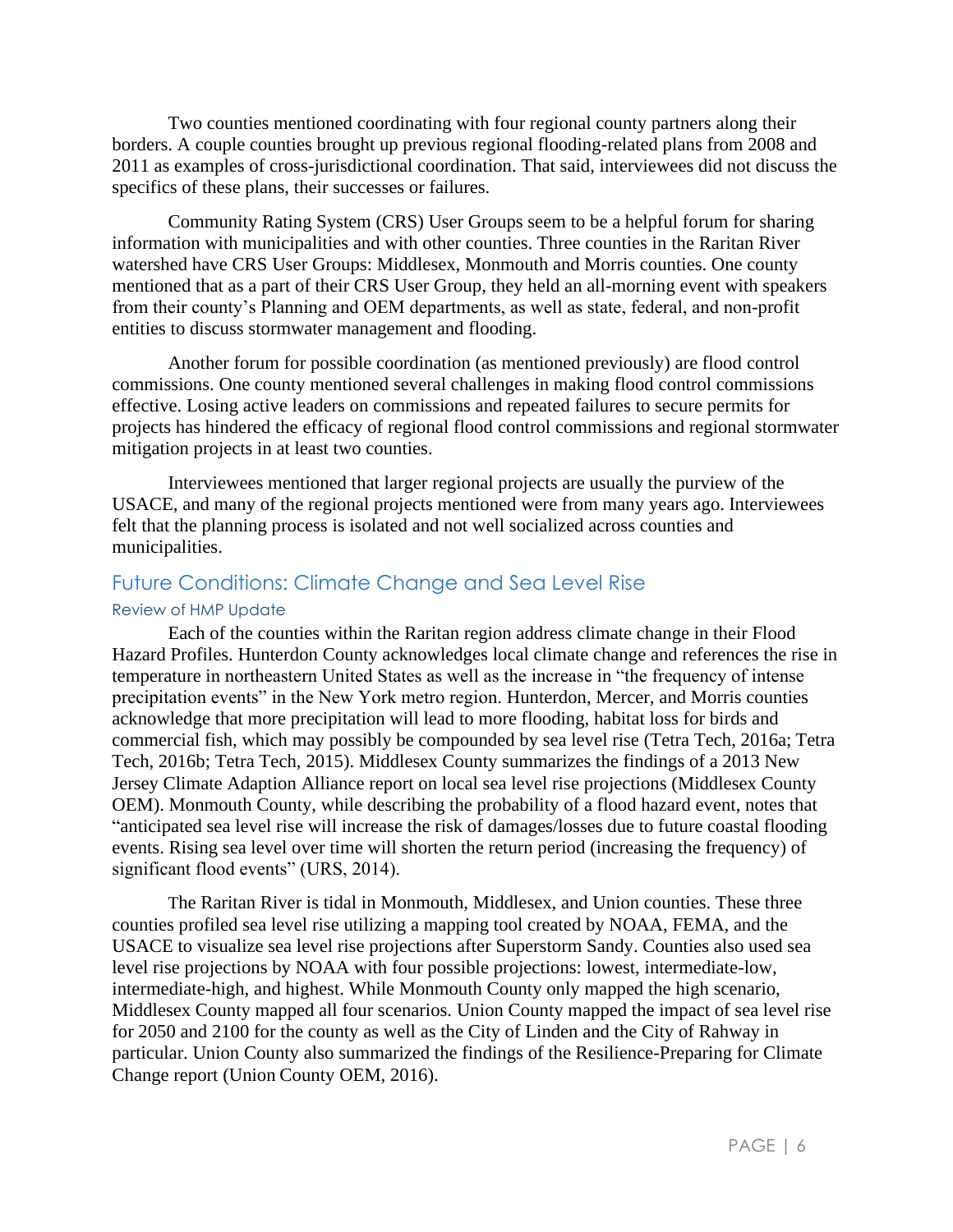Two counties mentioned coordinating with four regional county partners along their borders. A couple counties brought up previous regional flooding-related plans from 2008 and 2011 as examples of cross-jurisdictional coordination. That said, interviewees did not discuss the specifics of these plans, their successes or failures.

Community Rating System (CRS) User Groups seem to be a helpful forum for sharing information with municipalities and with other counties. Three counties in the Raritan River watershed have CRS User Groups: Middlesex, Monmouth and Morris counties. One county mentioned that as a part of their CRS User Group, they held an all-morning event with speakers from their county's Planning and OEM departments, as well as state, federal, and non-profit entities to discuss stormwater management and flooding.

Another forum for possible coordination (as mentioned previously) are flood control commissions. One county mentioned several challenges in making flood control commissions effective. Losing active leaders on commissions and repeated failures to secure permits for projects has hindered the efficacy of regional flood control commissions and regional stormwater mitigation projects in at least two counties.

Interviewees mentioned that larger regional projects are usually the purview of the USACE, and many of the regional projects mentioned were from many years ago. Interviewees felt that the planning process is isolated and not well socialized across counties and municipalities.

# Future Conditions: Climate Change and Sea Level Rise

### Review of HMP Update

Each of the counties within the Raritan region address climate change in their Flood Hazard Profiles. Hunterdon County acknowledges local climate change and references the rise in temperature in northeastern United States as well as the increase in "the frequency of intense precipitation events" in the New York metro region. Hunterdon, Mercer, and Morris counties acknowledge that more precipitation will lead to more flooding, habitat loss for birds and commercial fish, which may possibly be compounded by sea level rise (Tetra Tech, 2016a; Tetra Tech, 2016b; Tetra Tech, 2015). Middlesex County summarizes the findings of a 2013 New Jersey Climate Adaption Alliance report on local sea level rise projections (Middlesex County OEM). Monmouth County, while describing the probability of a flood hazard event, notes that "anticipated sea level rise will increase the risk of damages/losses due to future coastal flooding events. Rising sea level over time will shorten the return period (increasing the frequency) of significant flood events" (URS, 2014).

The Raritan River is tidal in Monmouth, Middlesex, and Union counties. These three counties profiled sea level rise utilizing a mapping tool created by NOAA, FEMA, and the USACE to visualize sea level rise projections after Superstorm Sandy. Counties also used sea level rise projections by NOAA with four possible projections: lowest, intermediate-low, intermediate-high, and highest. While Monmouth County only mapped the high scenario, Middlesex County mapped all four scenarios. Union County mapped the impact of sea level rise for 2050 and 2100 for the county as well as the City of Linden and the City of Rahway in particular. Union County also summarized the findings of the Resilience-Preparing for Climate Change report (Union County OEM, 2016).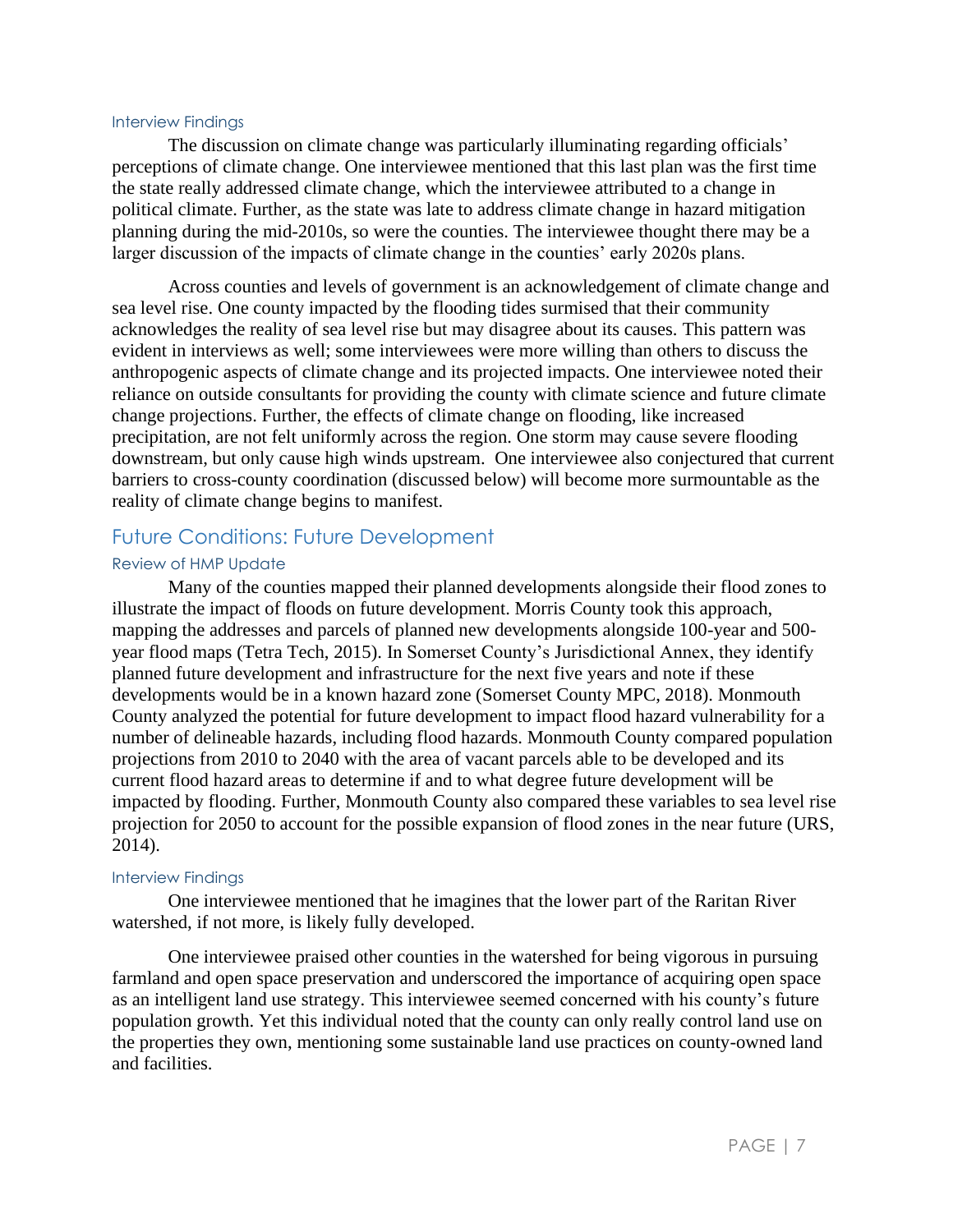#### Interview Findings

The discussion on climate change was particularly illuminating regarding officials' perceptions of climate change. One interviewee mentioned that this last plan was the first time the state really addressed climate change, which the interviewee attributed to a change in political climate. Further, as the state was late to address climate change in hazard mitigation planning during the mid-2010s, so were the counties. The interviewee thought there may be a larger discussion of the impacts of climate change in the counties' early 2020s plans.

Across counties and levels of government is an acknowledgement of climate change and sea level rise. One county impacted by the flooding tides surmised that their community acknowledges the reality of sea level rise but may disagree about its causes. This pattern was evident in interviews as well; some interviewees were more willing than others to discuss the anthropogenic aspects of climate change and its projected impacts. One interviewee noted their reliance on outside consultants for providing the county with climate science and future climate change projections. Further, the effects of climate change on flooding, like increased precipitation, are not felt uniformly across the region. One storm may cause severe flooding downstream, but only cause high winds upstream. One interviewee also conjectured that current barriers to cross-county coordination (discussed below) will become more surmountable as the reality of climate change begins to manifest.

### Future Conditions: Future Development

### Review of HMP Update

Many of the counties mapped their planned developments alongside their flood zones to illustrate the impact of floods on future development. Morris County took this approach, mapping the addresses and parcels of planned new developments alongside 100-year and 500 year flood maps (Tetra Tech, 2015). In Somerset County's Jurisdictional Annex, they identify planned future development and infrastructure for the next five years and note if these developments would be in a known hazard zone (Somerset County MPC, 2018). Monmouth County analyzed the potential for future development to impact flood hazard vulnerability for a number of delineable hazards, including flood hazards. Monmouth County compared population projections from 2010 to 2040 with the area of vacant parcels able to be developed and its current flood hazard areas to determine if and to what degree future development will be impacted by flooding. Further, Monmouth County also compared these variables to sea level rise projection for 2050 to account for the possible expansion of flood zones in the near future (URS, 2014).

#### Interview Findings

One interviewee mentioned that he imagines that the lower part of the Raritan River watershed, if not more, is likely fully developed.

One interviewee praised other counties in the watershed for being vigorous in pursuing farmland and open space preservation and underscored the importance of acquiring open space as an intelligent land use strategy. This interviewee seemed concerned with his county's future population growth. Yet this individual noted that the county can only really control land use on the properties they own, mentioning some sustainable land use practices on county-owned land and facilities.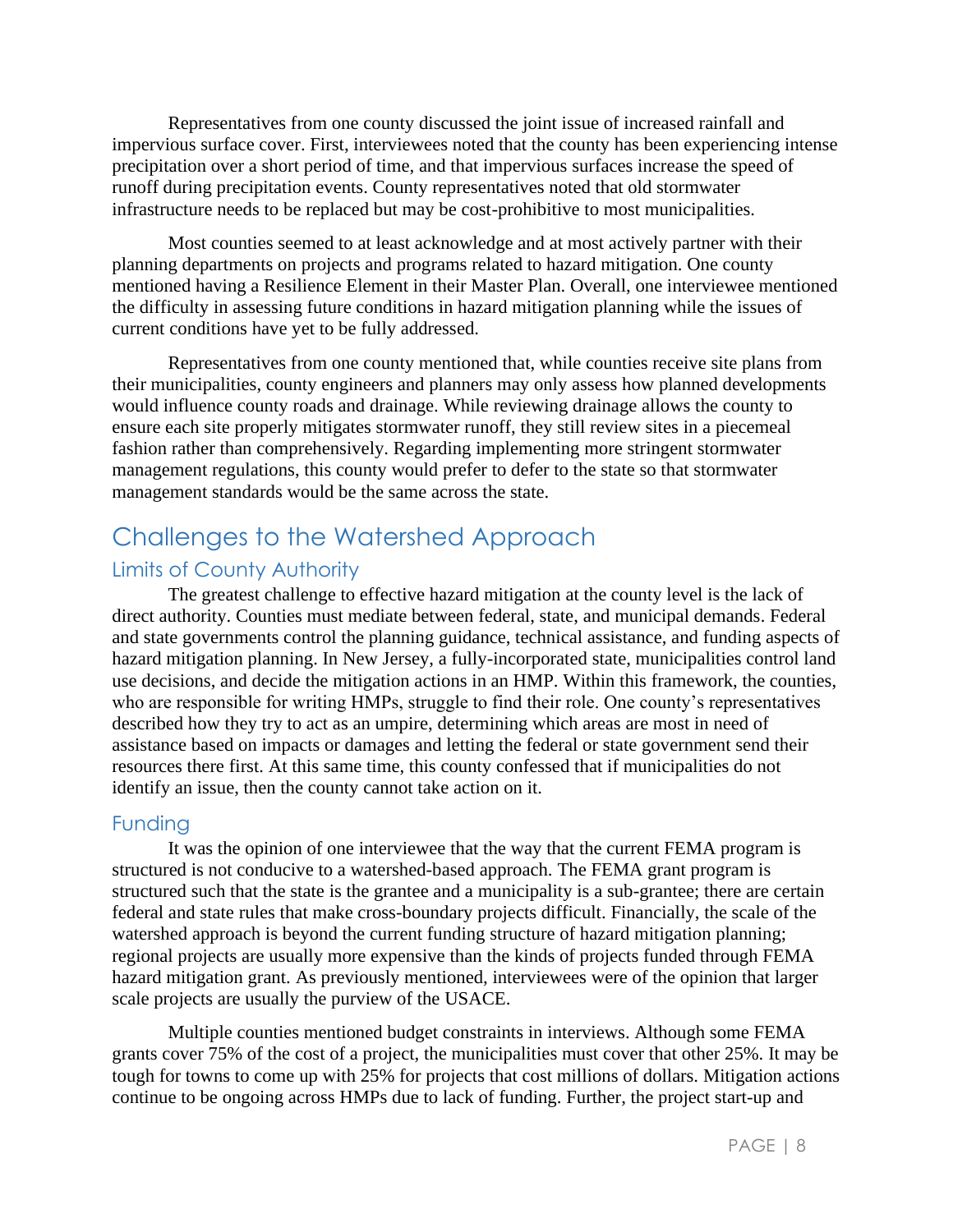Representatives from one county discussed the joint issue of increased rainfall and impervious surface cover. First, interviewees noted that the county has been experiencing intense precipitation over a short period of time, and that impervious surfaces increase the speed of runoff during precipitation events. County representatives noted that old stormwater infrastructure needs to be replaced but may be cost-prohibitive to most municipalities.

Most counties seemed to at least acknowledge and at most actively partner with their planning departments on projects and programs related to hazard mitigation. One county mentioned having a Resilience Element in their Master Plan. Overall, one interviewee mentioned the difficulty in assessing future conditions in hazard mitigation planning while the issues of current conditions have yet to be fully addressed.

Representatives from one county mentioned that, while counties receive site plans from their municipalities, county engineers and planners may only assess how planned developments would influence county roads and drainage. While reviewing drainage allows the county to ensure each site properly mitigates stormwater runoff, they still review sites in a piecemeal fashion rather than comprehensively. Regarding implementing more stringent stormwater management regulations, this county would prefer to defer to the state so that stormwater management standards would be the same across the state.

# Challenges to the Watershed Approach

## Limits of County Authority

The greatest challenge to effective hazard mitigation at the county level is the lack of direct authority. Counties must mediate between federal, state, and municipal demands. Federal and state governments control the planning guidance, technical assistance, and funding aspects of hazard mitigation planning. In New Jersey, a fully-incorporated state, municipalities control land use decisions, and decide the mitigation actions in an HMP. Within this framework, the counties, who are responsible for writing HMPs, struggle to find their role. One county's representatives described how they try to act as an umpire, determining which areas are most in need of assistance based on impacts or damages and letting the federal or state government send their resources there first. At this same time, this county confessed that if municipalities do not identify an issue, then the county cannot take action on it.

### Funding

It was the opinion of one interviewee that the way that the current FEMA program is structured is not conducive to a watershed-based approach. The FEMA grant program is structured such that the state is the grantee and a municipality is a sub-grantee; there are certain federal and state rules that make cross-boundary projects difficult. Financially, the scale of the watershed approach is beyond the current funding structure of hazard mitigation planning; regional projects are usually more expensive than the kinds of projects funded through FEMA hazard mitigation grant. As previously mentioned, interviewees were of the opinion that larger scale projects are usually the purview of the USACE.

Multiple counties mentioned budget constraints in interviews. Although some FEMA grants cover 75% of the cost of a project, the municipalities must cover that other 25%. It may be tough for towns to come up with 25% for projects that cost millions of dollars. Mitigation actions continue to be ongoing across HMPs due to lack of funding. Further, the project start-up and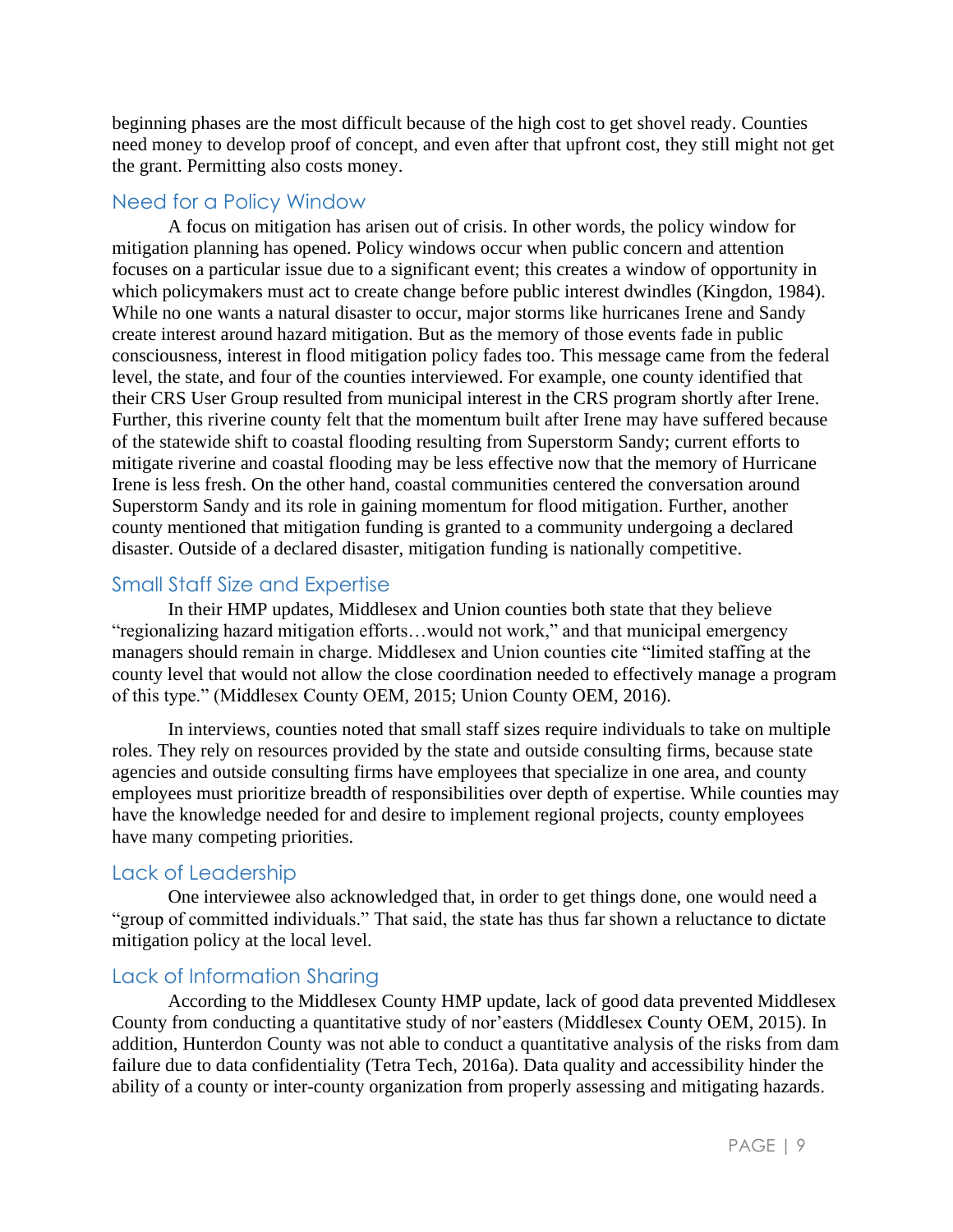beginning phases are the most difficult because of the high cost to get shovel ready. Counties need money to develop proof of concept, and even after that upfront cost, they still might not get the grant. Permitting also costs money.

## Need for a Policy Window

A focus on mitigation has arisen out of crisis. In other words, the policy window for mitigation planning has opened. Policy windows occur when public concern and attention focuses on a particular issue due to a significant event; this creates a window of opportunity in which policymakers must act to create change before public interest dwindles (Kingdon, 1984). While no one wants a natural disaster to occur, major storms like hurricanes Irene and Sandy create interest around hazard mitigation. But as the memory of those events fade in public consciousness, interest in flood mitigation policy fades too. This message came from the federal level, the state, and four of the counties interviewed. For example, one county identified that their CRS User Group resulted from municipal interest in the CRS program shortly after Irene. Further, this riverine county felt that the momentum built after Irene may have suffered because of the statewide shift to coastal flooding resulting from Superstorm Sandy; current efforts to mitigate riverine and coastal flooding may be less effective now that the memory of Hurricane Irene is less fresh. On the other hand, coastal communities centered the conversation around Superstorm Sandy and its role in gaining momentum for flood mitigation. Further, another county mentioned that mitigation funding is granted to a community undergoing a declared disaster. Outside of a declared disaster, mitigation funding is nationally competitive.

## Small Staff Size and Expertise

In their HMP updates, Middlesex and Union counties both state that they believe "regionalizing hazard mitigation efforts…would not work," and that municipal emergency managers should remain in charge. Middlesex and Union counties cite "limited staffing at the county level that would not allow the close coordination needed to effectively manage a program of this type." (Middlesex County OEM, 2015; Union County OEM, 2016).

In interviews, counties noted that small staff sizes require individuals to take on multiple roles. They rely on resources provided by the state and outside consulting firms, because state agencies and outside consulting firms have employees that specialize in one area, and county employees must prioritize breadth of responsibilities over depth of expertise. While counties may have the knowledge needed for and desire to implement regional projects, county employees have many competing priorities.

## Lack of Leadership

One interviewee also acknowledged that, in order to get things done, one would need a "group of committed individuals." That said, the state has thus far shown a reluctance to dictate mitigation policy at the local level.

## Lack of Information Sharing

According to the Middlesex County HMP update, lack of good data prevented Middlesex County from conducting a quantitative study of nor'easters (Middlesex County OEM, 2015). In addition, Hunterdon County was not able to conduct a quantitative analysis of the risks from dam failure due to data confidentiality (Tetra Tech, 2016a). Data quality and accessibility hinder the ability of a county or inter-county organization from properly assessing and mitigating hazards.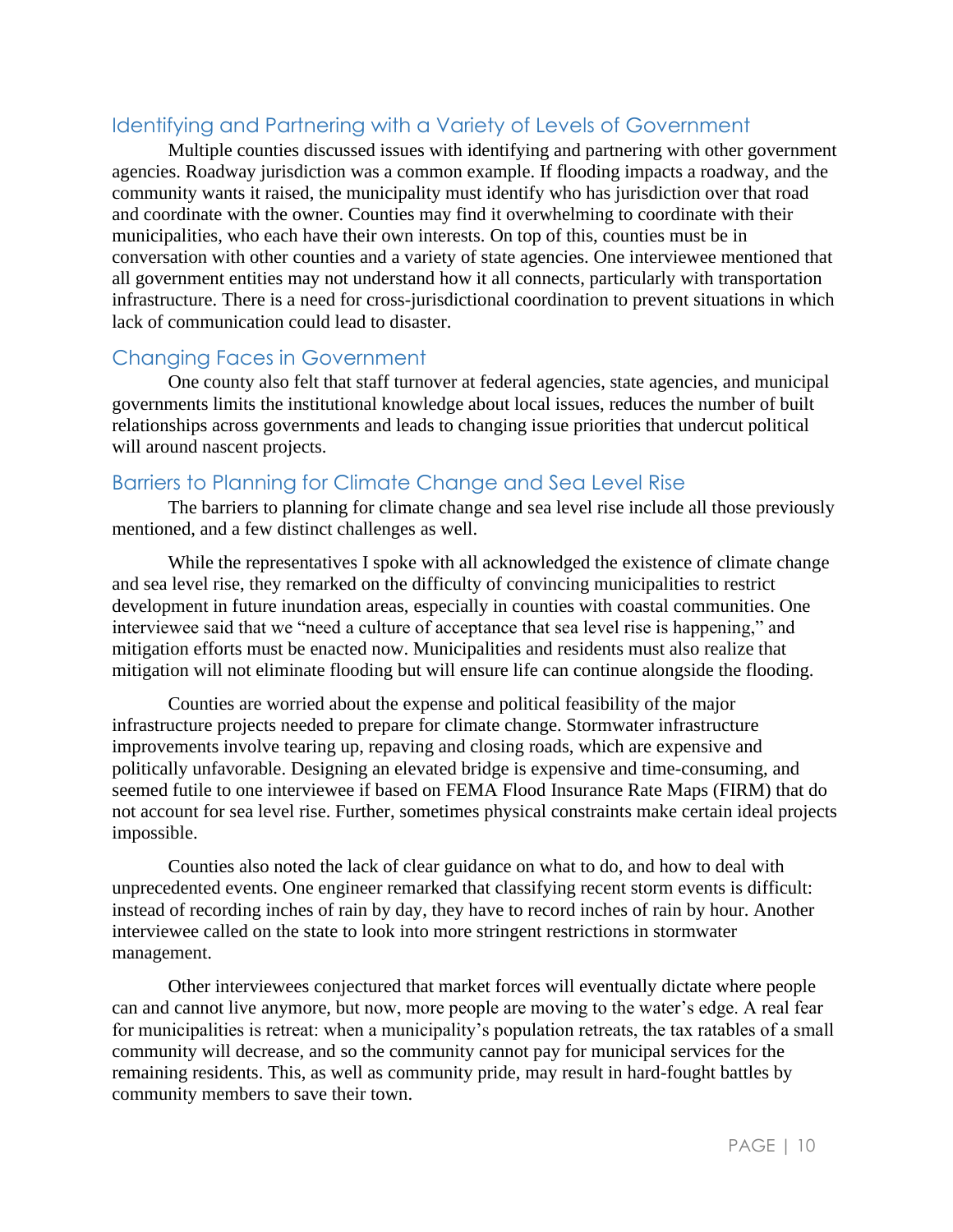## Identifying and Partnering with a Variety of Levels of Government

Multiple counties discussed issues with identifying and partnering with other government agencies. Roadway jurisdiction was a common example. If flooding impacts a roadway, and the community wants it raised, the municipality must identify who has jurisdiction over that road and coordinate with the owner. Counties may find it overwhelming to coordinate with their municipalities, who each have their own interests. On top of this, counties must be in conversation with other counties and a variety of state agencies. One interviewee mentioned that all government entities may not understand how it all connects, particularly with transportation infrastructure. There is a need for cross-jurisdictional coordination to prevent situations in which lack of communication could lead to disaster.

## Changing Faces in Government

One county also felt that staff turnover at federal agencies, state agencies, and municipal governments limits the institutional knowledge about local issues, reduces the number of built relationships across governments and leads to changing issue priorities that undercut political will around nascent projects.

## Barriers to Planning for Climate Change and Sea Level Rise

The barriers to planning for climate change and sea level rise include all those previously mentioned, and a few distinct challenges as well.

While the representatives I spoke with all acknowledged the existence of climate change and sea level rise, they remarked on the difficulty of convincing municipalities to restrict development in future inundation areas, especially in counties with coastal communities. One interviewee said that we "need a culture of acceptance that sea level rise is happening," and mitigation efforts must be enacted now. Municipalities and residents must also realize that mitigation will not eliminate flooding but will ensure life can continue alongside the flooding.

Counties are worried about the expense and political feasibility of the major infrastructure projects needed to prepare for climate change. Stormwater infrastructure improvements involve tearing up, repaving and closing roads, which are expensive and politically unfavorable. Designing an elevated bridge is expensive and time-consuming, and seemed futile to one interviewee if based on FEMA Flood Insurance Rate Maps (FIRM) that do not account for sea level rise. Further, sometimes physical constraints make certain ideal projects impossible.

Counties also noted the lack of clear guidance on what to do, and how to deal with unprecedented events. One engineer remarked that classifying recent storm events is difficult: instead of recording inches of rain by day, they have to record inches of rain by hour. Another interviewee called on the state to look into more stringent restrictions in stormwater management.

Other interviewees conjectured that market forces will eventually dictate where people can and cannot live anymore, but now, more people are moving to the water's edge. A real fear for municipalities is retreat: when a municipality's population retreats, the tax ratables of a small community will decrease, and so the community cannot pay for municipal services for the remaining residents. This, as well as community pride, may result in hard-fought battles by community members to save their town.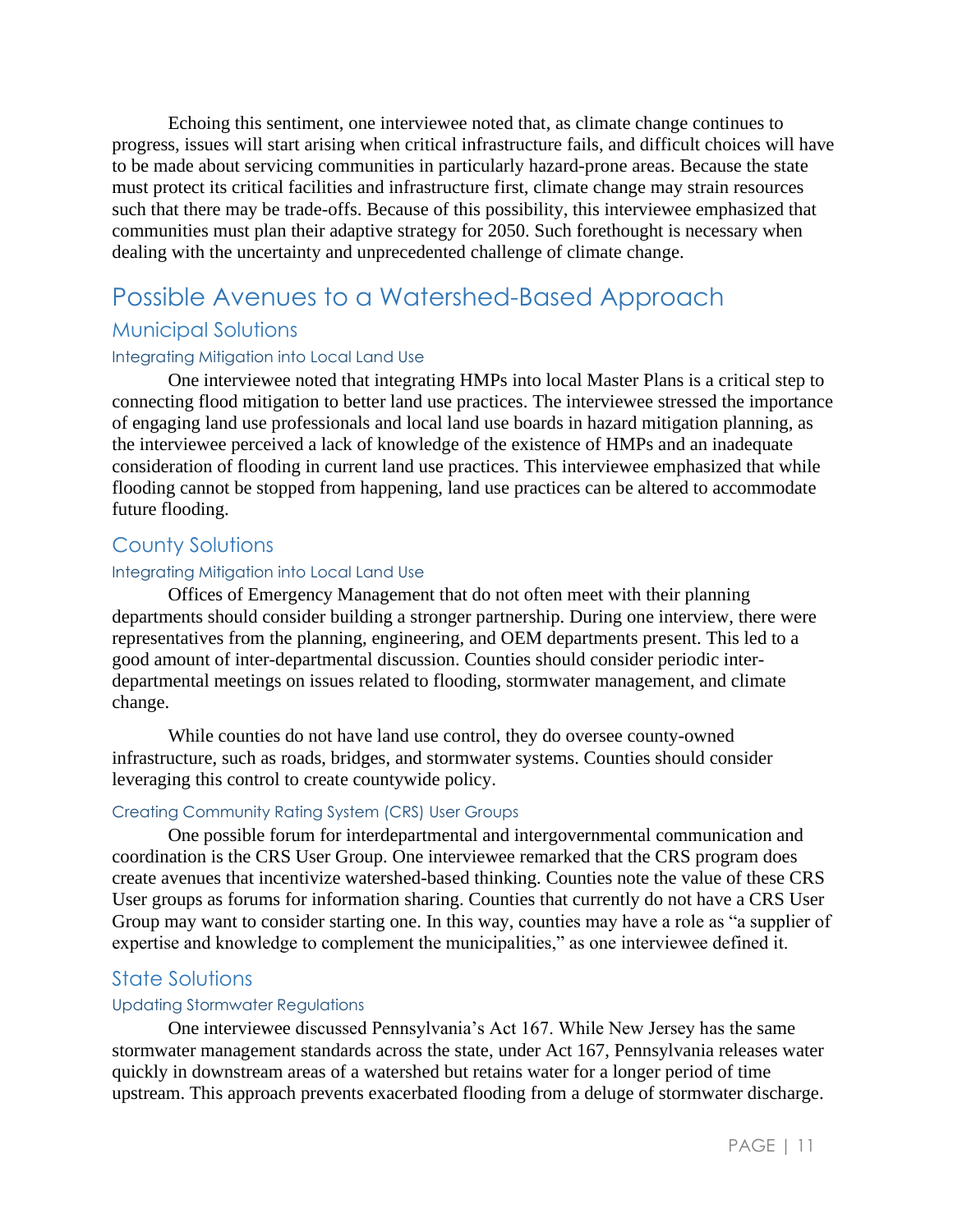Echoing this sentiment, one interviewee noted that, as climate change continues to progress, issues will start arising when critical infrastructure fails, and difficult choices will have to be made about servicing communities in particularly hazard-prone areas. Because the state must protect its critical facilities and infrastructure first, climate change may strain resources such that there may be trade-offs. Because of this possibility, this interviewee emphasized that communities must plan their adaptive strategy for 2050. Such forethought is necessary when dealing with the uncertainty and unprecedented challenge of climate change.

# Possible Avenues to a Watershed-Based Approach

## Municipal Solutions

#### Integrating Mitigation into Local Land Use

One interviewee noted that integrating HMPs into local Master Plans is a critical step to connecting flood mitigation to better land use practices. The interviewee stressed the importance of engaging land use professionals and local land use boards in hazard mitigation planning, as the interviewee perceived a lack of knowledge of the existence of HMPs and an inadequate consideration of flooding in current land use practices. This interviewee emphasized that while flooding cannot be stopped from happening, land use practices can be altered to accommodate future flooding.

### County Solutions

### Integrating Mitigation into Local Land Use

Offices of Emergency Management that do not often meet with their planning departments should consider building a stronger partnership. During one interview, there were representatives from the planning, engineering, and OEM departments present. This led to a good amount of inter-departmental discussion. Counties should consider periodic interdepartmental meetings on issues related to flooding, stormwater management, and climate change.

While counties do not have land use control, they do oversee county-owned infrastructure, such as roads, bridges, and stormwater systems. Counties should consider leveraging this control to create countywide policy.

### Creating Community Rating System (CRS) User Groups

One possible forum for interdepartmental and intergovernmental communication and coordination is the CRS User Group. One interviewee remarked that the CRS program does create avenues that incentivize watershed-based thinking. Counties note the value of these CRS User groups as forums for information sharing. Counties that currently do not have a CRS User Group may want to consider starting one. In this way, counties may have a role as "a supplier of expertise and knowledge to complement the municipalities," as one interviewee defined it.

### State Solutions

#### Updating Stormwater Regulations

One interviewee discussed Pennsylvania's Act 167. While New Jersey has the same stormwater management standards across the state, under Act 167, Pennsylvania releases water quickly in downstream areas of a watershed but retains water for a longer period of time upstream. This approach prevents exacerbated flooding from a deluge of stormwater discharge.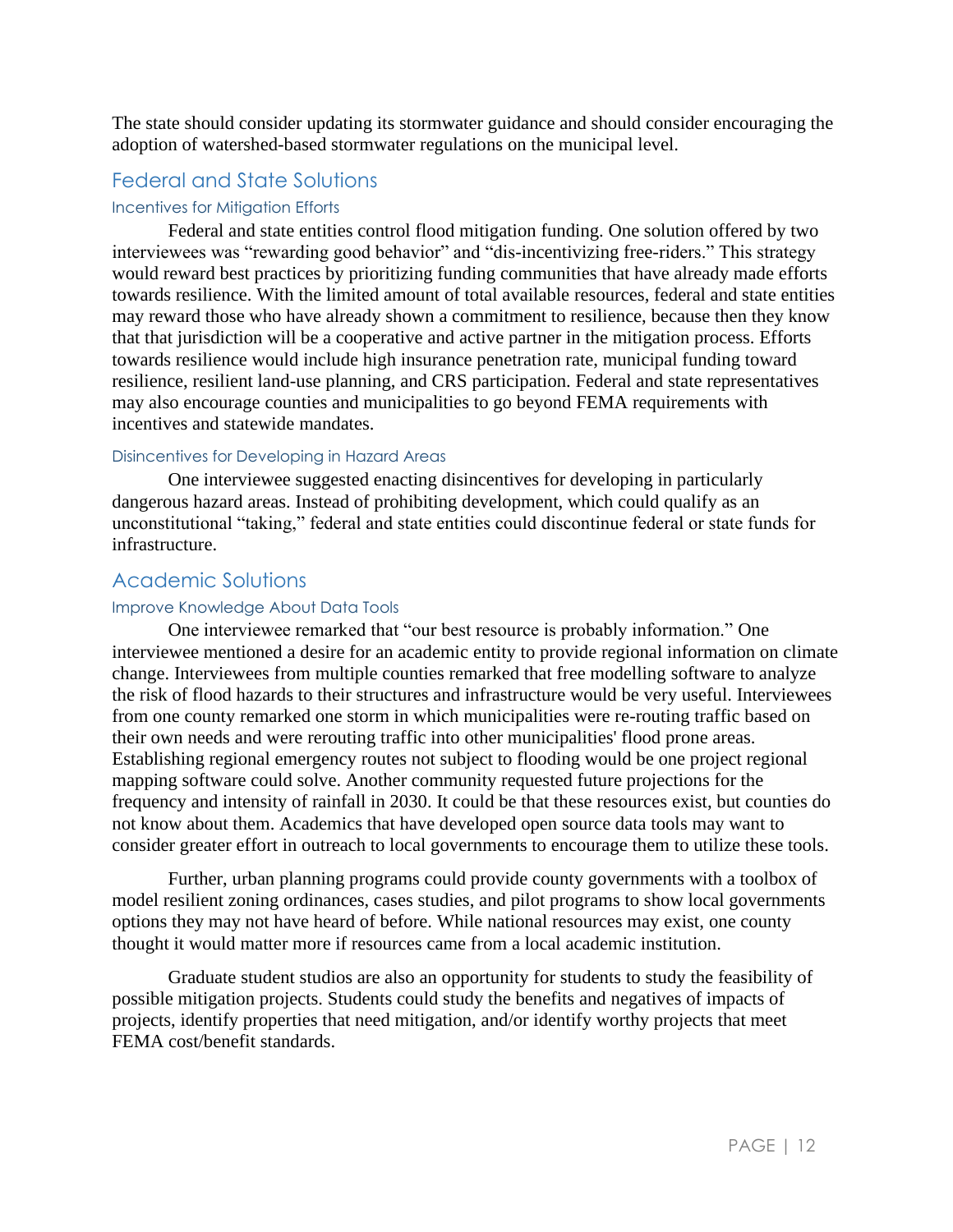The state should consider updating its stormwater guidance and should consider encouraging the adoption of watershed-based stormwater regulations on the municipal level.

## Federal and State Solutions

#### Incentives for Mitigation Efforts

Federal and state entities control flood mitigation funding. One solution offered by two interviewees was "rewarding good behavior" and "dis-incentivizing free-riders." This strategy would reward best practices by prioritizing funding communities that have already made efforts towards resilience. With the limited amount of total available resources, federal and state entities may reward those who have already shown a commitment to resilience, because then they know that that jurisdiction will be a cooperative and active partner in the mitigation process. Efforts towards resilience would include high insurance penetration rate, municipal funding toward resilience, resilient land-use planning, and CRS participation. Federal and state representatives may also encourage counties and municipalities to go beyond FEMA requirements with incentives and statewide mandates.

#### Disincentives for Developing in Hazard Areas

One interviewee suggested enacting disincentives for developing in particularly dangerous hazard areas. Instead of prohibiting development, which could qualify as an unconstitutional "taking," federal and state entities could discontinue federal or state funds for infrastructure.

### Academic Solutions

#### Improve Knowledge About Data Tools

One interviewee remarked that "our best resource is probably information." One interviewee mentioned a desire for an academic entity to provide regional information on climate change. Interviewees from multiple counties remarked that free modelling software to analyze the risk of flood hazards to their structures and infrastructure would be very useful. Interviewees from one county remarked one storm in which municipalities were re-routing traffic based on their own needs and were rerouting traffic into other municipalities' flood prone areas. Establishing regional emergency routes not subject to flooding would be one project regional mapping software could solve. Another community requested future projections for the frequency and intensity of rainfall in 2030. It could be that these resources exist, but counties do not know about them. Academics that have developed open source data tools may want to consider greater effort in outreach to local governments to encourage them to utilize these tools.

Further, urban planning programs could provide county governments with a toolbox of model resilient zoning ordinances, cases studies, and pilot programs to show local governments options they may not have heard of before. While national resources may exist, one county thought it would matter more if resources came from a local academic institution.

Graduate student studios are also an opportunity for students to study the feasibility of possible mitigation projects. Students could study the benefits and negatives of impacts of projects, identify properties that need mitigation, and/or identify worthy projects that meet FEMA cost/benefit standards.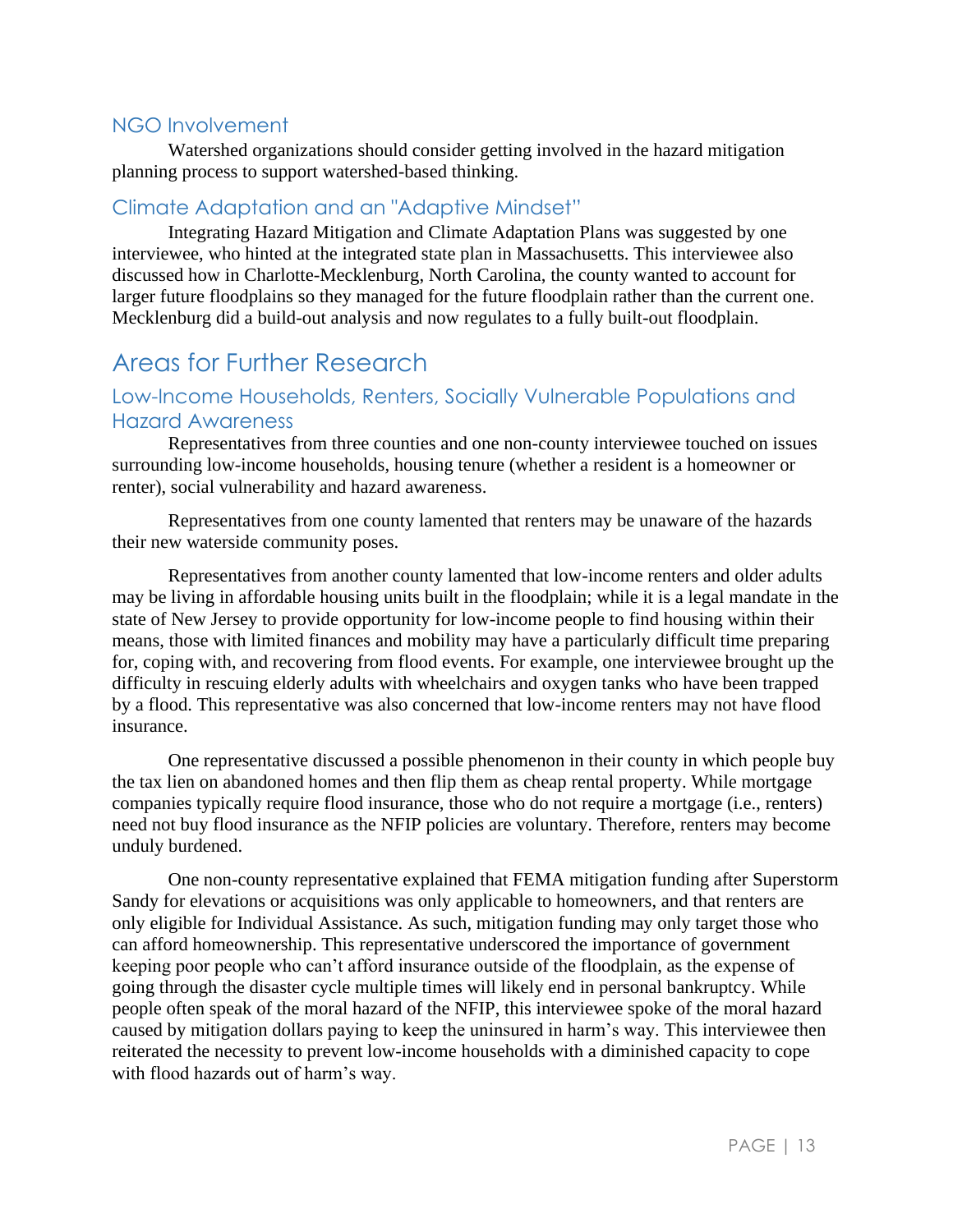## NGO Involvement

Watershed organizations should consider getting involved in the hazard mitigation planning process to support watershed-based thinking.

## Climate Adaptation and an "Adaptive Mindset"

Integrating Hazard Mitigation and Climate Adaptation Plans was suggested by one interviewee, who hinted at the integrated state plan in Massachusetts. This interviewee also discussed how in Charlotte-Mecklenburg, North Carolina, the county wanted to account for larger future floodplains so they managed for the future floodplain rather than the current one. Mecklenburg did a build-out analysis and now regulates to a fully built-out floodplain.

# Areas for Further Research

## Low-Income Households, Renters, Socially Vulnerable Populations and Hazard Awareness

Representatives from three counties and one non-county interviewee touched on issues surrounding low-income households, housing tenure (whether a resident is a homeowner or renter), social vulnerability and hazard awareness.

Representatives from one county lamented that renters may be unaware of the hazards their new waterside community poses.

Representatives from another county lamented that low-income renters and older adults may be living in affordable housing units built in the floodplain; while it is a legal mandate in the state of New Jersey to provide opportunity for low-income people to find housing within their means, those with limited finances and mobility may have a particularly difficult time preparing for, coping with, and recovering from flood events. For example, one interviewee brought up the difficulty in rescuing elderly adults with wheelchairs and oxygen tanks who have been trapped by a flood. This representative was also concerned that low-income renters may not have flood insurance.

One representative discussed a possible phenomenon in their county in which people buy the tax lien on abandoned homes and then flip them as cheap rental property. While mortgage companies typically require flood insurance, those who do not require a mortgage (i.e., renters) need not buy flood insurance as the NFIP policies are voluntary. Therefore, renters may become unduly burdened.

One non-county representative explained that FEMA mitigation funding after Superstorm Sandy for elevations or acquisitions was only applicable to homeowners, and that renters are only eligible for Individual Assistance. As such, mitigation funding may only target those who can afford homeownership. This representative underscored the importance of government keeping poor people who can't afford insurance outside of the floodplain, as the expense of going through the disaster cycle multiple times will likely end in personal bankruptcy. While people often speak of the moral hazard of the NFIP, this interviewee spoke of the moral hazard caused by mitigation dollars paying to keep the uninsured in harm's way. This interviewee then reiterated the necessity to prevent low-income households with a diminished capacity to cope with flood hazards out of harm's way.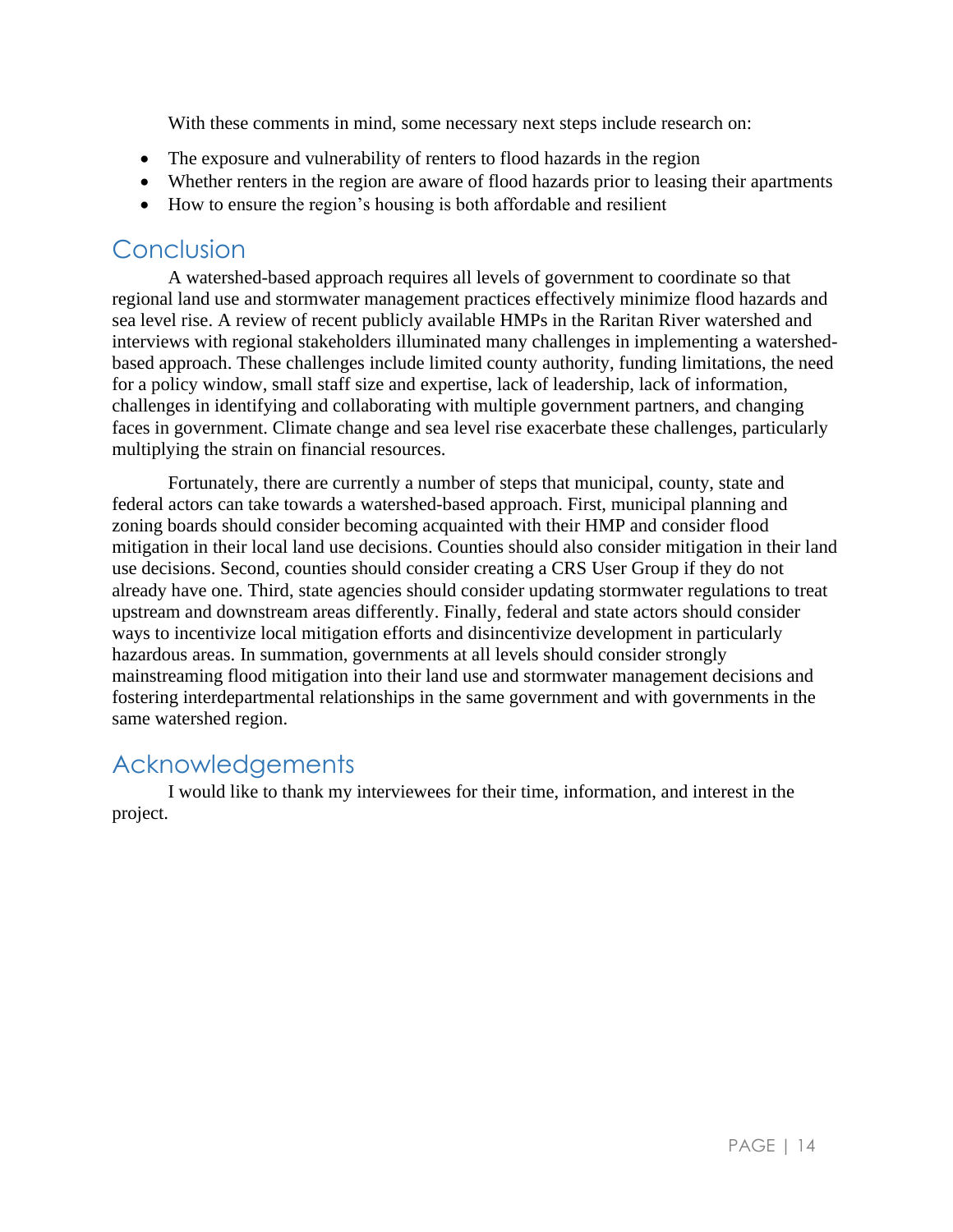With these comments in mind, some necessary next steps include research on:

- The exposure and vulnerability of renters to flood hazards in the region
- Whether renters in the region are aware of flood hazards prior to leasing their apartments
- How to ensure the region's housing is both affordable and resilient

# Conclusion

A watershed-based approach requires all levels of government to coordinate so that regional land use and stormwater management practices effectively minimize flood hazards and sea level rise. A review of recent publicly available HMPs in the Raritan River watershed and interviews with regional stakeholders illuminated many challenges in implementing a watershedbased approach. These challenges include limited county authority, funding limitations, the need for a policy window, small staff size and expertise, lack of leadership, lack of information, challenges in identifying and collaborating with multiple government partners, and changing faces in government. Climate change and sea level rise exacerbate these challenges, particularly multiplying the strain on financial resources.

Fortunately, there are currently a number of steps that municipal, county, state and federal actors can take towards a watershed-based approach. First, municipal planning and zoning boards should consider becoming acquainted with their HMP and consider flood mitigation in their local land use decisions. Counties should also consider mitigation in their land use decisions. Second, counties should consider creating a CRS User Group if they do not already have one. Third, state agencies should consider updating stormwater regulations to treat upstream and downstream areas differently. Finally, federal and state actors should consider ways to incentivize local mitigation efforts and disincentivize development in particularly hazardous areas. In summation, governments at all levels should consider strongly mainstreaming flood mitigation into their land use and stormwater management decisions and fostering interdepartmental relationships in the same government and with governments in the same watershed region.

# Acknowledgements

I would like to thank my interviewees for their time, information, and interest in the project.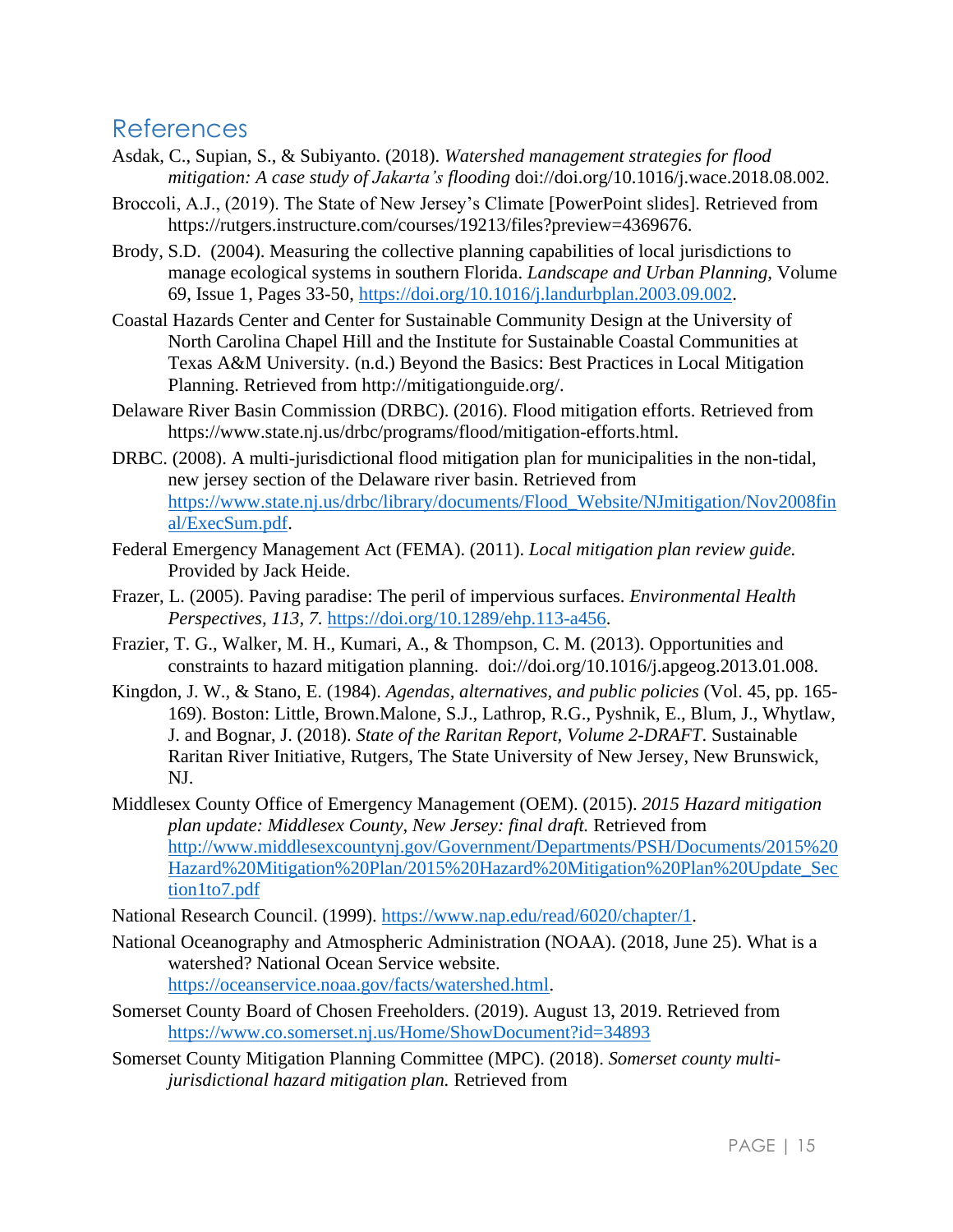# References

- Asdak, C., Supian, S., & Subiyanto. (2018). *Watershed management strategies for flood mitigation: A case study of Jakarta's flooding* doi://doi.org/10.1016/j.wace.2018.08.002.
- Broccoli, A.J., (2019). The State of New Jersey's Climate [PowerPoint slides]. Retrieved from https://rutgers.instructure.com/courses/19213/files?preview=4369676.
- Brody, S.D. (2004). Measuring the collective planning capabilities of local jurisdictions to manage ecological systems in southern Florida. *Landscape and Urban Planning,* Volume 69, Issue 1, Pages 33-50, [https://doi.org/10.1016/j.landurbplan.2003.09.002.](https://doi.org/10.1016/j.landurbplan.2003.09.002)
- Coastal Hazards Center and Center for Sustainable Community Design at the University of North Carolina Chapel Hill and the Institute for Sustainable Coastal Communities at Texas A&M University. (n.d.) Beyond the Basics: Best Practices in Local Mitigation Planning. Retrieved from http://mitigationguide.org/.
- Delaware River Basin Commission (DRBC). (2016). Flood mitigation efforts. Retrieved from https://www.state.nj.us/drbc/programs/flood/mitigation-efforts.html.
- DRBC. (2008). A multi-jurisdictional flood mitigation plan for municipalities in the non-tidal, new jersey section of the Delaware river basin. Retrieved from [https://www.state.nj.us/drbc/library/documents/Flood\\_Website/NJmitigation/Nov2008fin](https://www.state.nj.us/drbc/library/documents/Flood_Website/NJmitigation/Nov2008final/ExecSum.pdf) [al/ExecSum.pdf.](https://www.state.nj.us/drbc/library/documents/Flood_Website/NJmitigation/Nov2008final/ExecSum.pdf)
- Federal Emergency Management Act (FEMA). (2011). *Local mitigation plan review guide.*  Provided by Jack Heide.
- Frazer, L. (2005). Paving paradise: The peril of impervious surfaces. *Environmental Health Perspectives, 113, 7.* [https://doi.org/10.1289/ehp.113-a456.](https://doi.org/10.1289/ehp.113-a456)
- Frazier, T. G., Walker, M. H., Kumari, A., & Thompson, C. M. (2013). Opportunities and constraints to hazard mitigation planning. doi://doi.org/10.1016/j.apgeog.2013.01.008.
- Kingdon, J. W., & Stano, E. (1984). *Agendas, alternatives, and public policies* (Vol. 45, pp. 165- 169). Boston: Little, Brown.Malone, S.J., Lathrop, R.G., Pyshnik, E., Blum, J., Whytlaw, J. and Bognar, J. (2018). *State of the Raritan Report, Volume 2-DRAFT*. Sustainable Raritan River Initiative, Rutgers, The State University of New Jersey, New Brunswick, NJ.
- Middlesex County Office of Emergency Management (OEM). (2015). *2015 Hazard mitigation plan update: Middlesex County, New Jersey: final draft.* Retrieved from [http://www.middlesexcountynj.gov/Government/Departments/PSH/Documents/2015%20](http://www.middlesexcountynj.gov/Government/Departments/PSH/Documents/2015%20Hazard%20Mitigation%20Plan/2015%20Hazard%20Mitigation%20Plan%20Update_Section1to7.pdf) [Hazard%20Mitigation%20Plan/2015%20Hazard%20Mitigation%20Plan%20Update\\_Sec](http://www.middlesexcountynj.gov/Government/Departments/PSH/Documents/2015%20Hazard%20Mitigation%20Plan/2015%20Hazard%20Mitigation%20Plan%20Update_Section1to7.pdf) [tion1to7.pdf](http://www.middlesexcountynj.gov/Government/Departments/PSH/Documents/2015%20Hazard%20Mitigation%20Plan/2015%20Hazard%20Mitigation%20Plan%20Update_Section1to7.pdf)

National Research Council. (1999). [https://www.nap.edu/read/6020/chapter/1.](https://www.nap.edu/read/6020/chapter/1)

- National Oceanography and Atmospheric Administration (NOAA). (2018, June 25). What is a watershed? National Ocean Service website. [https://oceanservice.noaa.gov/facts/watershed.html.](https://oceanservice.noaa.gov/facts/watershed.html)
- Somerset County Board of Chosen Freeholders. (2019). August 13, 2019. Retrieved from <https://www.co.somerset.nj.us/Home/ShowDocument?id=34893>
- Somerset County Mitigation Planning Committee (MPC). (2018). *Somerset county multijurisdictional hazard mitigation plan.* Retrieved from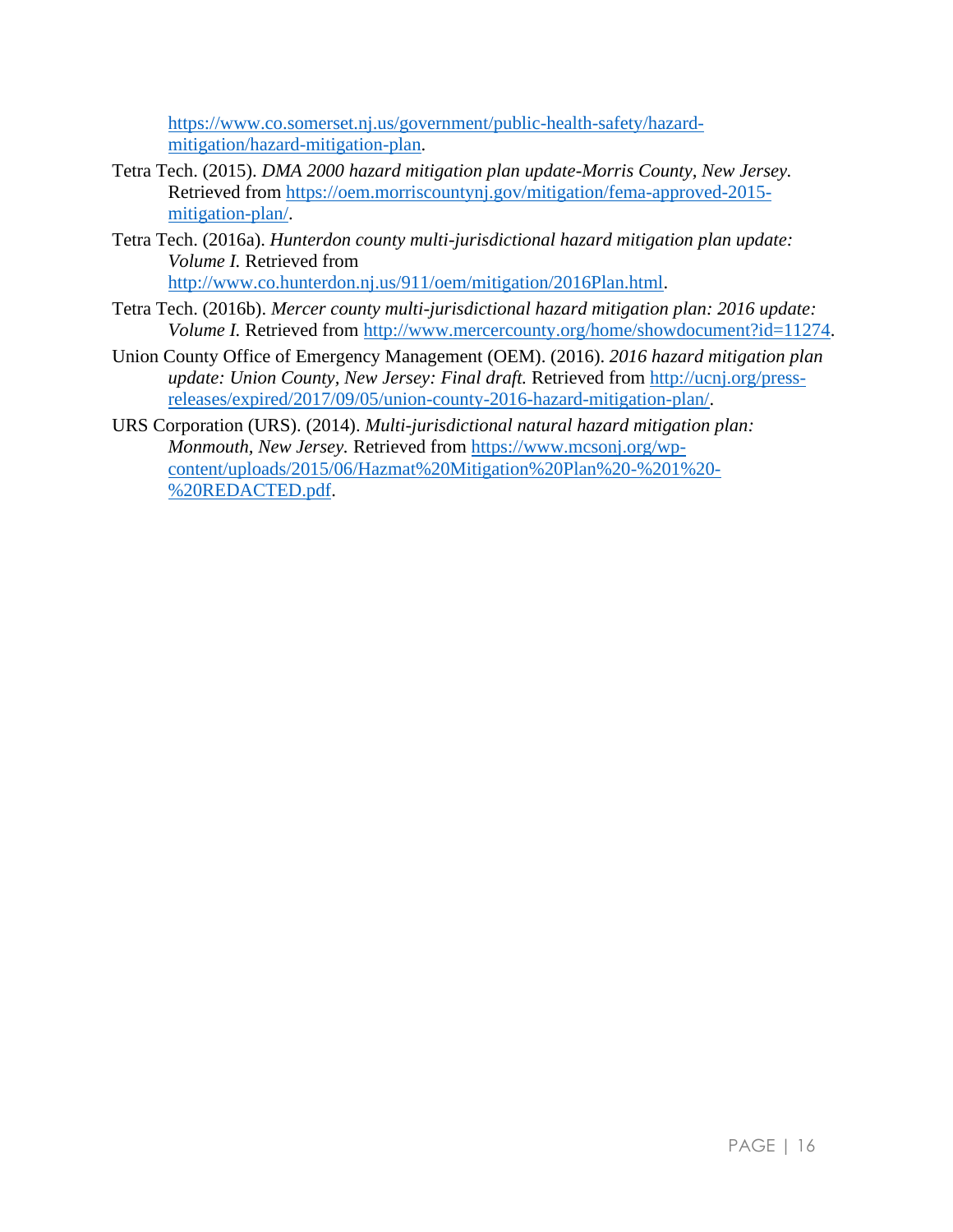[https://www.co.somerset.nj.us/government/public-health-safety/hazard](https://www.co.somerset.nj.us/government/public-health-safety/hazard-mitigation/hazard-mitigation-plan)[mitigation/hazard-mitigation-plan.](https://www.co.somerset.nj.us/government/public-health-safety/hazard-mitigation/hazard-mitigation-plan)

- Tetra Tech. (2015). *DMA 2000 hazard mitigation plan update-Morris County, New Jersey.* Retrieved from [https://oem.morriscountynj.gov/mitigation/fema-approved-2015](https://oem.morriscountynj.gov/mitigation/fema-approved-2015-mitigation-plan/) [mitigation-plan/.](https://oem.morriscountynj.gov/mitigation/fema-approved-2015-mitigation-plan/)
- Tetra Tech. (2016a). *Hunterdon county multi-jurisdictional hazard mitigation plan update: Volume I.* Retrieved from [http://www.co.hunterdon.nj.us/911/oem/mitigation/2016Plan.html.](http://www.co.hunterdon.nj.us/911/oem/mitigation/2016Plan.html)
- Tetra Tech. (2016b). *Mercer county multi-jurisdictional hazard mitigation plan: 2016 update: Volume I.* Retrieved from [http://www.mercercounty.org/home/showdocument?id=11274.](http://www.mercercounty.org/home/showdocument?id=11274)
- Union County Office of Emergency Management (OEM). (2016). *2016 hazard mitigation plan update: Union County, New Jersey: Final draft.* Retrieved from [http://ucnj.org/press](http://ucnj.org/press-releases/expired/2017/09/05/union-county-2016-hazard-mitigation-plan/)[releases/expired/2017/09/05/union-county-2016-hazard-mitigation-plan/.](http://ucnj.org/press-releases/expired/2017/09/05/union-county-2016-hazard-mitigation-plan/)
- URS Corporation (URS). (2014). *Multi-jurisdictional natural hazard mitigation plan: Monmouth, New Jersey.* Retrieved from [https://www.mcsonj.org/wp](https://www.mcsonj.org/wp-content/uploads/2015/06/Hazmat%20Mitigation%20Plan%20-%201%20-%20REDACTED.pdf)[content/uploads/2015/06/Hazmat%20Mitigation%20Plan%20-%201%20-](https://www.mcsonj.org/wp-content/uploads/2015/06/Hazmat%20Mitigation%20Plan%20-%201%20-%20REDACTED.pdf) [%20REDACTED.pdf.](https://www.mcsonj.org/wp-content/uploads/2015/06/Hazmat%20Mitigation%20Plan%20-%201%20-%20REDACTED.pdf)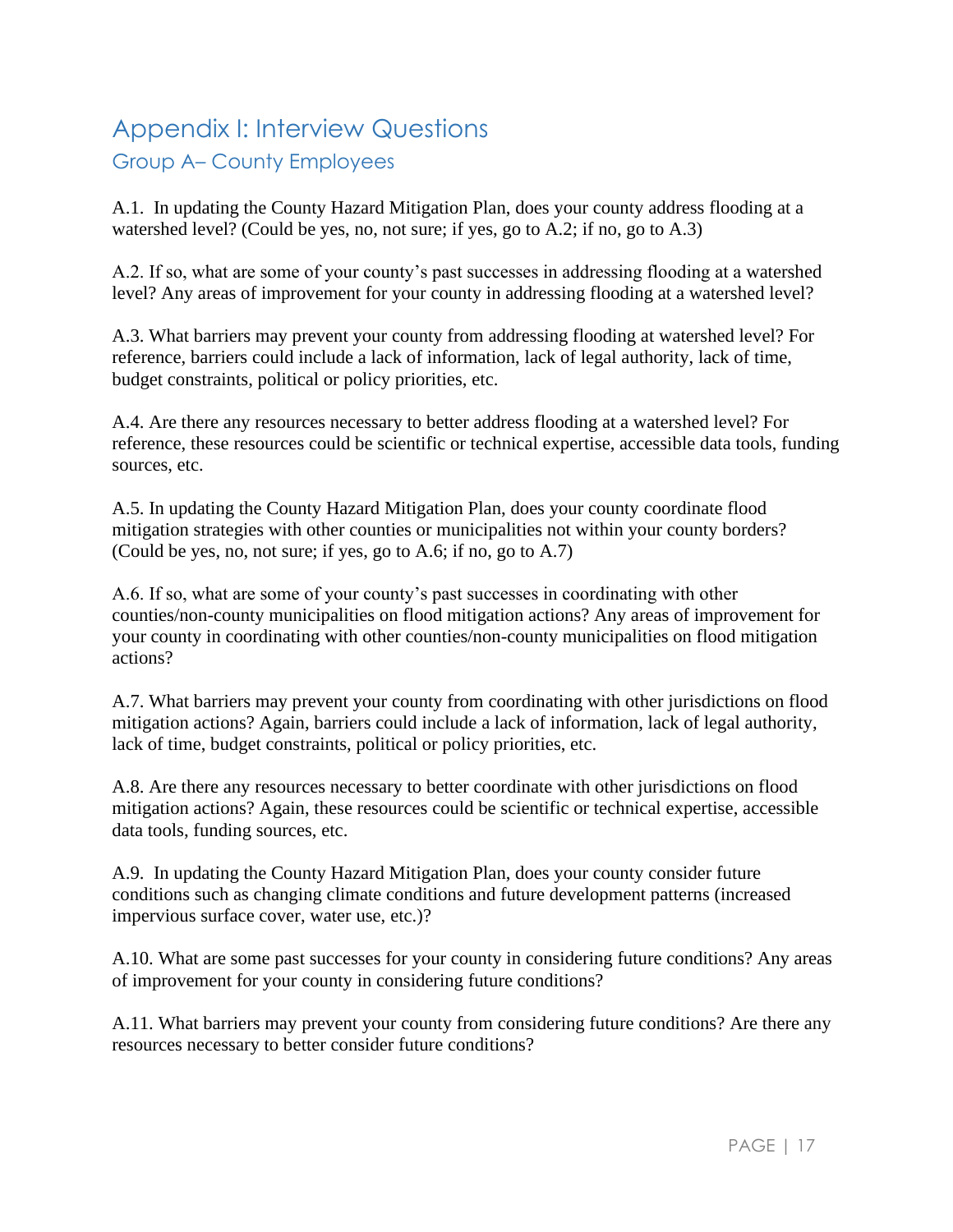# Appendix I: Interview Questions Group A– County Employees

A.1. In updating the County Hazard Mitigation Plan, does your county address flooding at a watershed level? (Could be yes, no, not sure; if yes, go to A.2; if no, go to A.3)

A.2. If so, what are some of your county's past successes in addressing flooding at a watershed level? Any areas of improvement for your county in addressing flooding at a watershed level?

A.3. What barriers may prevent your county from addressing flooding at watershed level? For reference, barriers could include a lack of information, lack of legal authority, lack of time, budget constraints, political or policy priorities, etc.

A.4. Are there any resources necessary to better address flooding at a watershed level? For reference, these resources could be scientific or technical expertise, accessible data tools, funding sources, etc.

A.5. In updating the County Hazard Mitigation Plan, does your county coordinate flood mitigation strategies with other counties or municipalities not within your county borders? (Could be yes, no, not sure; if yes, go to A.6; if no, go to A.7)

A.6. If so, what are some of your county's past successes in coordinating with other counties/non-county municipalities on flood mitigation actions? Any areas of improvement for your county in coordinating with other counties/non-county municipalities on flood mitigation actions?

A.7. What barriers may prevent your county from coordinating with other jurisdictions on flood mitigation actions? Again, barriers could include a lack of information, lack of legal authority, lack of time, budget constraints, political or policy priorities, etc.

A.8. Are there any resources necessary to better coordinate with other jurisdictions on flood mitigation actions? Again, these resources could be scientific or technical expertise, accessible data tools, funding sources, etc.

A.9. In updating the County Hazard Mitigation Plan, does your county consider future conditions such as changing climate conditions and future development patterns (increased impervious surface cover, water use, etc.)?

A.10. What are some past successes for your county in considering future conditions? Any areas of improvement for your county in considering future conditions?

A.11. What barriers may prevent your county from considering future conditions? Are there any resources necessary to better consider future conditions?